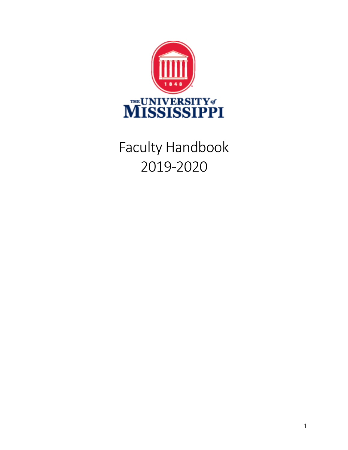

# Faculty Handbook 2019-2020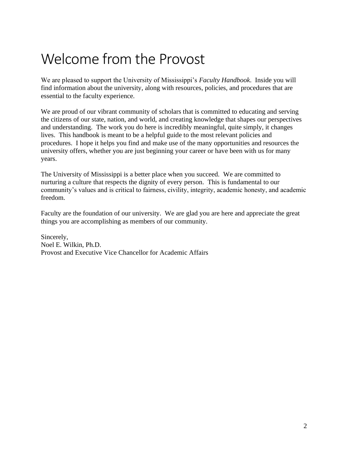# Welcome from the Provost

We are pleased to support the University of Mississippi's *Faculty Handbook*. Inside you will find information about the university, along with resources, policies, and procedures that are essential to the faculty experience.

We are proud of our vibrant community of scholars that is committed to educating and serving the citizens of our state, nation, and world, and creating knowledge that shapes our perspectives and understanding. The work you do here is incredibly meaningful, quite simply, it changes lives. This handbook is meant to be a helpful guide to the most relevant policies and procedures. I hope it helps you find and make use of the many opportunities and resources the university offers, whether you are just beginning your career or have been with us for many years.

The University of Mississippi is a better place when you succeed. We are committed to nurturing a culture that respects the dignity of every person. This is fundamental to our community's values and is critical to fairness, civility, integrity, academic honesty, and academic freedom.

Faculty are the foundation of our university. We are glad you are here and appreciate the great things you are accomplishing as members of our community.

Sincerely, Noel E. Wilkin, Ph.D. Provost and Executive Vice Chancellor for Academic Affairs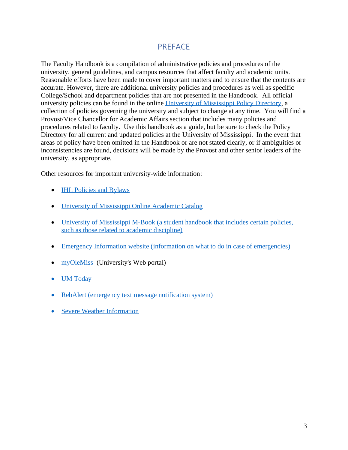#### PREFACE

The Faculty Handbook is a compilation of administrative policies and procedures of the university, general guidelines, and campus resources that affect faculty and academic units. Reasonable efforts have been made to cover important matters and to ensure that the contents are accurate. However, there are additional university policies and procedures as well as specific College/School and department policies that are not presented in the Handbook. All official university policies can be found in the online [University of Mississippi Policy Directory,](https://policies.olemiss.edu/) a collection of policies governing the university and subject to change at any time. You will find a Provost/Vice Chancellor for Academic Affairs section that includes many policies and procedures related to faculty. Use this handbook as a guide, but be sure to check the Policy Directory for all current and updated policies at the University of Mississippi. In the event that areas of policy have been omitted in the Handbook or are not stated clearly, or if ambiguities or inconsistencies are found, decisions will be made by the Provost and other senior leaders of the university, as appropriate.

Other resources for important university-wide information:

- **[IHL Policies and Bylaws](http://www.mississippi.edu/board/downloads/policiesandbylaws.pdf)**
- [University of Mississippi Online Academic Catalog](https://catalog.olemiss.edu/)
- [University of Mississippi M-Book](https://communications.olemiss.edu/wp-content/uploads/sites/5/2017/10/MBook.pdf) (a student handbook that includes certain policies, [such as those related to](https://communications.olemiss.edu/wp-content/uploads/sites/5/2017/10/MBook.pdf) academic discipline)
- Emergency Information [website \(information on what to do in case of emergencies\)](https://emergency.olemiss.edu/todo.html)
- [myOleMiss](https://my.olemiss.edu/irj/portal) (University's Web portal)
- [UM Today](https://olemiss.edu/newsevents/umtoday/)
- [RebAlert \(emergency text message notification system\)](https://olemiss.edu/helpdesk/faq.php?cat=61)
- [Severe Weather Information](https://emergency.olemiss.edu/weather.html)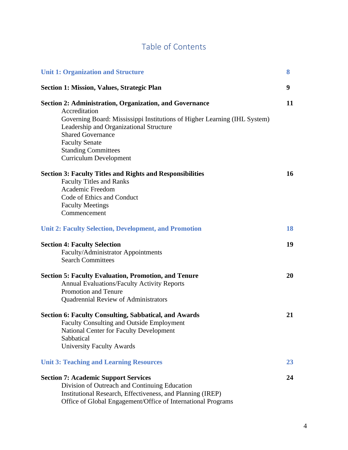### Table of Contents

| <b>Unit 1: Organization and Structure</b>                                                                                                                                                                                                                                                                                   | 8  |
|-----------------------------------------------------------------------------------------------------------------------------------------------------------------------------------------------------------------------------------------------------------------------------------------------------------------------------|----|
| <b>Section 1: Mission, Values, Strategic Plan</b>                                                                                                                                                                                                                                                                           | 9  |
| <b>Section 2: Administration, Organization, and Governance</b><br>Accreditation<br>Governing Board: Mississippi Institutions of Higher Learning (IHL System)<br>Leadership and Organizational Structure<br><b>Shared Governance</b><br><b>Faculty Senate</b><br><b>Standing Committees</b><br><b>Curriculum Development</b> | 11 |
| <b>Section 3: Faculty Titles and Rights and Responsibilities</b><br><b>Faculty Titles and Ranks</b><br>Academic Freedom<br>Code of Ethics and Conduct<br><b>Faculty Meetings</b><br>Commencement                                                                                                                            | 16 |
| <b>Unit 2: Faculty Selection, Development, and Promotion</b>                                                                                                                                                                                                                                                                | 18 |
| <b>Section 4: Faculty Selection</b><br>Faculty/Administrator Appointments<br><b>Search Committees</b>                                                                                                                                                                                                                       | 19 |
| <b>Section 5: Faculty Evaluation, Promotion, and Tenure</b><br><b>Annual Evaluations/Faculty Activity Reports</b><br>Promotion and Tenure<br><b>Quadrennial Review of Administrators</b>                                                                                                                                    | 20 |
| <b>Section 6: Faculty Consulting, Sabbatical, and Awards</b><br><b>Faculty Consulting and Outside Employment</b><br><b>National Center for Faculty Development</b><br>Sabbatical<br><b>University Faculty Awards</b>                                                                                                        | 21 |
| <b>Unit 3: Teaching and Learning Resources</b>                                                                                                                                                                                                                                                                              | 23 |
| <b>Section 7: Academic Support Services</b><br>Division of Outreach and Continuing Education<br>Institutional Research, Effectiveness, and Planning (IREP)<br>Office of Global Engagement/Office of International Programs                                                                                                  | 24 |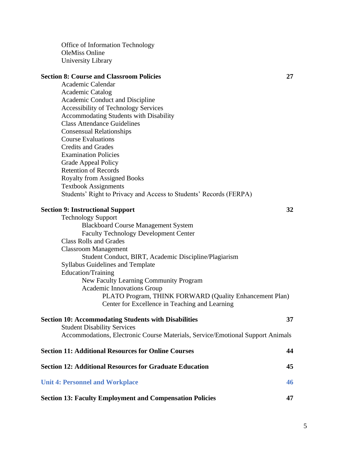Office of Information Technology OleMiss Online University Library

#### **Section 8: Course and Classroom Policies 27**

Academic Calendar Academic Catalog Academic Conduct and Discipline Accessibility of Technology Services Accommodating Students with Disability Class Attendance Guidelines Consensual Relationships Course Evaluations Credits and Grades Examination Policies Grade Appeal Policy Retention of Records Royalty from Assigned Books Textbook Assignments Students' Right to Privacy and Access to Students' Records (FERPA)

#### **Section 9: Instructional Support 32**

| <b>Technology Support</b>                                                      |    |
|--------------------------------------------------------------------------------|----|
| <b>Blackboard Course Management System</b>                                     |    |
| <b>Faculty Technology Development Center</b>                                   |    |
| <b>Class Rolls and Grades</b>                                                  |    |
| <b>Classroom Management</b>                                                    |    |
| Student Conduct, BIRT, Academic Discipline/Plagiarism                          |    |
| <b>Syllabus Guidelines and Template</b>                                        |    |
| Education/Training                                                             |    |
| New Faculty Learning Community Program                                         |    |
| <b>Academic Innovations Group</b>                                              |    |
| PLATO Program, THINK FORWARD (Quality Enhancement Plan)                        |    |
| Center for Excellence in Teaching and Learning                                 |    |
| <b>Section 10: Accommodating Students with Disabilities</b>                    | 37 |
| <b>Student Disability Services</b>                                             |    |
| Accommodations, Electronic Course Materials, Service/Emotional Support Animals |    |
| <b>Section 11: Additional Resources for Online Courses</b>                     | 44 |
| <b>Section 12: Additional Resources for Graduate Education</b>                 | 45 |
| <b>Unit 4: Personnel and Workplace</b>                                         | 46 |
|                                                                                |    |

**Section 13: Faculty Employment and Compensation Policies 47**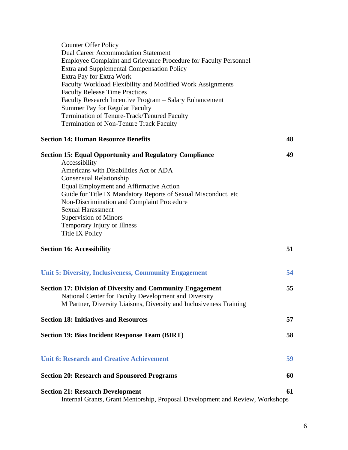| <b>Counter Offer Policy</b>                                                   |    |
|-------------------------------------------------------------------------------|----|
| <b>Dual Career Accommodation Statement</b>                                    |    |
| Employee Complaint and Grievance Procedure for Faculty Personnel              |    |
| Extra and Supplemental Compensation Policy                                    |    |
| Extra Pay for Extra Work                                                      |    |
| Faculty Workload Flexibility and Modified Work Assignments                    |    |
| <b>Faculty Release Time Practices</b>                                         |    |
| Faculty Research Incentive Program - Salary Enhancement                       |    |
|                                                                               |    |
| <b>Summer Pay for Regular Faculty</b>                                         |    |
| Termination of Tenure-Track/Tenured Faculty                                   |    |
| Termination of Non-Tenure Track Faculty                                       |    |
| <b>Section 14: Human Resource Benefits</b>                                    | 48 |
| <b>Section 15: Equal Opportunity and Regulatory Compliance</b>                | 49 |
| Accessibility                                                                 |    |
| Americans with Disabilities Act or ADA                                        |    |
| <b>Consensual Relationship</b>                                                |    |
| Equal Employment and Affirmative Action                                       |    |
| Guide for Title IX Mandatory Reports of Sexual Misconduct, etc.               |    |
| Non-Discrimination and Complaint Procedure                                    |    |
| <b>Sexual Harassment</b>                                                      |    |
| <b>Supervision of Minors</b>                                                  |    |
| Temporary Injury or Illness                                                   |    |
| Title IX Policy                                                               |    |
|                                                                               |    |
| <b>Section 16: Accessibility</b>                                              | 51 |
| <b>Unit 5: Diversity, Inclusiveness, Community Engagement</b>                 | 54 |
|                                                                               |    |
| <b>Section 17: Division of Diversity and Community Engagement</b>             | 55 |
| National Center for Faculty Development and Diversity                         |    |
| M Partner, Diversity Liaisons, Diversity and Inclusiveness Training           |    |
|                                                                               |    |
| <b>Section 18: Initiatives and Resources</b>                                  | 57 |
| <b>Section 19: Bias Incident Response Team (BIRT)</b>                         | 58 |
|                                                                               |    |
| <b>Unit 6: Research and Creative Achievement</b>                              | 59 |
| <b>Section 20: Research and Sponsored Programs</b>                            | 60 |
|                                                                               |    |
| <b>Section 21: Research Development</b>                                       | 61 |
| Internal Grants, Grant Mentorship, Proposal Development and Review, Workshops |    |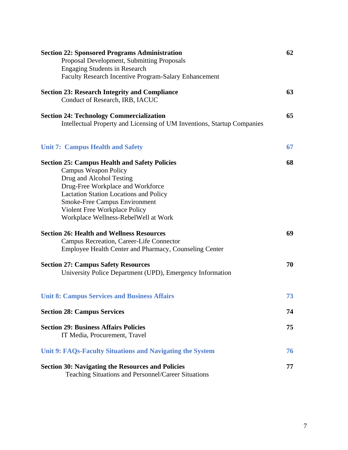| <b>Section 22: Sponsored Programs Administration</b><br>Proposal Development, Submitting Proposals<br><b>Engaging Students in Research</b><br>Faculty Research Incentive Program-Salary Enhancement                                                                                                                    | 62 |
|------------------------------------------------------------------------------------------------------------------------------------------------------------------------------------------------------------------------------------------------------------------------------------------------------------------------|----|
| <b>Section 23: Research Integrity and Compliance</b><br>Conduct of Research, IRB, IACUC                                                                                                                                                                                                                                | 63 |
| <b>Section 24: Technology Commercialization</b><br>Intellectual Property and Licensing of UM Inventions, Startup Companies                                                                                                                                                                                             | 65 |
| <b>Unit 7: Campus Health and Safety</b>                                                                                                                                                                                                                                                                                | 67 |
| <b>Section 25: Campus Health and Safety Policies</b><br><b>Campus Weapon Policy</b><br>Drug and Alcohol Testing<br>Drug-Free Workplace and Workforce<br><b>Lactation Station Locations and Policy</b><br><b>Smoke-Free Campus Environment</b><br>Violent Free Workplace Policy<br>Workplace Wellness-RebelWell at Work | 68 |
| <b>Section 26: Health and Wellness Resources</b><br>Campus Recreation, Career-Life Connector<br>Employee Health Center and Pharmacy, Counseling Center                                                                                                                                                                 | 69 |
| <b>Section 27: Campus Safety Resources</b><br>University Police Department (UPD), Emergency Information                                                                                                                                                                                                                | 70 |
| <b>Unit 8: Campus Services and Business Affairs</b>                                                                                                                                                                                                                                                                    | 73 |
| <b>Section 28: Campus Services</b>                                                                                                                                                                                                                                                                                     | 74 |
| <b>Section 29: Business Affairs Policies</b><br>IT Media, Procurement, Travel                                                                                                                                                                                                                                          | 75 |
| Unit 9: FAQs-Faculty Situations and Navigating the System                                                                                                                                                                                                                                                              | 76 |
| <b>Section 30: Navigating the Resources and Policies</b><br>Teaching Situations and Personnel/Career Situations                                                                                                                                                                                                        | 77 |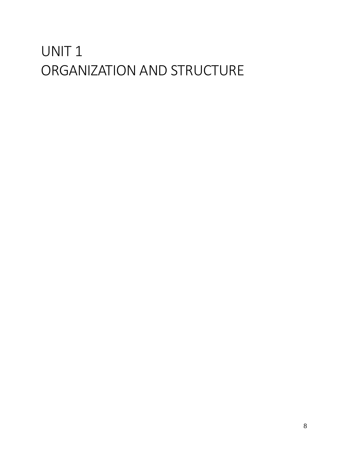# UNIT 1 ORGANIZATION AND STRUCTURE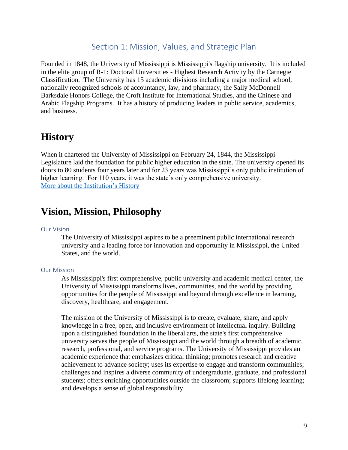#### Section 1: Mission, Values, and Strategic Plan

Founded in 1848, the University of Mississippi is Mississippi's flagship university. It is included in the elite group of R-1: Doctoral Universities - Highest Research Activity by the Carnegie Classification. The University has 15 academic divisions including a major medical school, nationally recognized schools of accountancy, law, and pharmacy, the Sally McDonnell Barksdale Honors College, the Croft Institute for International Studies, and the Chinese and Arabic Flagship Programs. It has a history of producing leaders in public service, academics, and business.

#### **History**

When it chartered the University of Mississippi on February 24, 1844, the Mississippi Legislature laid the foundation for public higher education in the state. The university opened its doors to 80 students four years later and for 23 years was Mississippi's only public institution of higher learning. For 110 years, it was the state's only comprehensive university. [More about the Institution's History](https://olemiss.edu/aboutum/history.html)

#### **Vision, Mission, Philosophy**

#### Our Vision

The University of Mississippi aspires to be a preeminent public international research university and a leading force for innovation and opportunity in Mississippi, the United States, and the world.

#### Our Mission

As Mississippi's first comprehensive, public university and academic medical center, the University of Mississippi transforms lives, communities, and the world by providing opportunities for the people of Mississippi and beyond through excellence in learning, discovery, healthcare, and engagement.

The mission of the University of Mississippi is to create, evaluate, share, and apply knowledge in a free, open, and inclusive environment of intellectual inquiry. Building upon a distinguished foundation in the liberal arts, the state's first comprehensive university serves the people of Mississippi and the world through a breadth of academic, research, professional, and service programs. The University of Mississippi provides an academic experience that emphasizes critical thinking; promotes research and creative achievement to advance society; uses its expertise to engage and transform communities; challenges and inspires a diverse community of undergraduate, graduate, and professional students; offers enriching opportunities outside the classroom; supports lifelong learning; and develops a sense of global responsibility.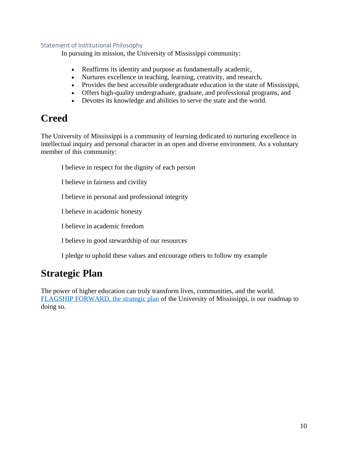#### Statement of Institutional Philosophy

In pursuing its mission, the University of Mississippi community:

- Reaffirms its identity and purpose as fundamentally academic,
- Nurtures excellence in teaching, learning, creativity, and research,
- Provides the best accessible undergraduate education in the state of Mississippi,
- Offers high-quality undergraduate, graduate, and professional programs, and
- Devotes its knowledge and abilities to serve the state and the world.

#### **Creed**

The University of Mississippi is a community of learning dedicated to nurturing excellence in intellectual inquiry and personal character in an open and diverse environment. As a voluntary member of this community:

I believe in respect for the dignity of each person

I believe in fairness and civility

I believe in personal and professional integrity

I believe in academic honesty

I believe in academic freedom

I believe in good stewardship of our resources

I pledge to uphold these values and encourage others to follow my example

#### **Strategic Plan**

The power of higher education can truly transform lives, communities, and the world. [FLAGSHIP FORWARD, the strategic plan](http://flagshipforward.olemiss.edu/) of the University of Mississippi, is our roadmap to doing so.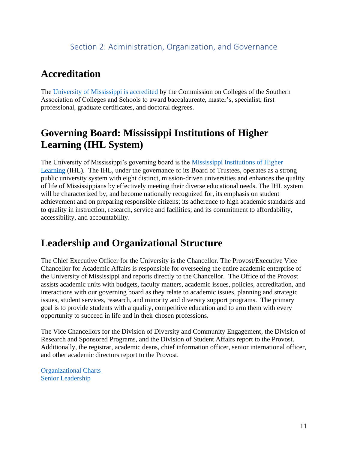#### Section 2: Administration, Organization, and Governance

#### **Accreditation**

The [University of Mississippi is accredited](http://provost.olemiss.edu/accreditation-information/) by the Commission on Colleges of the Southern Association of Colleges and Schools to award baccalaureate, master's, specialist, first professional, graduate certificates, and doctoral degrees.

### **Governing Board: Mississippi Institutions of Higher Learning (IHL System)**

The University of Mississippi's governing board is the [Mississippi Institutions of Higher](http://www.ihl.state.ms.us/)  [Learning](http://www.ihl.state.ms.us/) (IHL). The IHL, under the governance of its Board of Trustees, operates as a strong public university system with eight distinct, mission-driven universities and enhances the quality of life of Mississippians by effectively meeting their diverse educational needs. The IHL system will be characterized by, and become nationally recognized for, its emphasis on student achievement and on preparing responsible citizens; its adherence to high academic standards and to quality in instruction, research, service and facilities; and its commitment to affordability, accessibility, and accountability.

#### **Leadership and Organizational Structure**

The Chief Executive Officer for the University is the Chancellor. The Provost/Executive Vice Chancellor for Academic Affairs is responsible for overseeing the entire academic enterprise of the University of Mississippi and reports directly to the Chancellor. The Office of the Provost assists academic units with budgets, faculty matters, academic issues, policies, accreditation, and interactions with our governing board as they relate to academic issues, planning and strategic issues, student services, research, and minority and diversity support programs. The primary goal is to provide students with a quality, competitive education and to arm them with every opportunity to succeed in life and in their chosen professions.

The Vice Chancellors for the Division of Diversity and Community Engagement, the Division of Research and Sponsored Programs, and the Division of Student Affairs report to the Provost. Additionally, the registrar, academic deans, chief information officer, senior international officer, and other academic directors report to the Provost.

[Organizational Charts](https://irep.olemiss.edu/organizational-charts/)) [Senior Leadership](https://olemiss.edu/aboutum/leadership.html)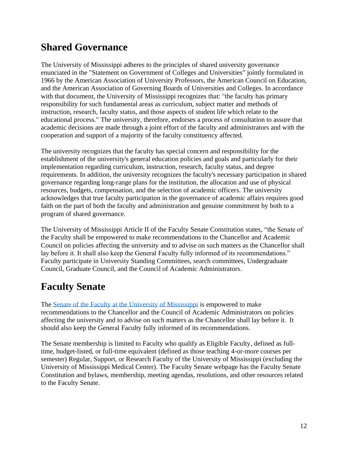### **Shared Governance**

The University of Mississippi adheres to the principles of shared university governance enunciated in the "Statement on Government of Colleges and Universities" jointly formulated in 1966 by the American Association of University Professors, the American Council on Education, and the American Association of Governing Boards of Universities and Colleges. In accordance with that document, the University of Mississippi recognizes that: "the faculty has primary responsibility for such fundamental areas as curriculum, subject matter and methods of instruction, research, faculty status, and those aspects of student life which relate to the educational process." The university, therefore, endorses a process of consultation to assure that academic decisions are made through a joint effort of the faculty and administrators and with the cooperation and support of a majority of the faculty constituency affected.

The university recognizes that the faculty has special concern and responsibility for the establishment of the university's general education policies and goals and particularly for their implementation regarding curriculum, instruction, research, faculty status, and degree requirements. In addition, the university recognizes the faculty's necessary participation in shared governance regarding long-range plans for the institution, the allocation and use of physical resources, budgets, compensation, and the selection of academic officers. The university acknowledges that true faculty participation in the governance of academic affairs requires good faith on the part of both the faculty and administration and genuine commitment by both to a program of shared governance.

The University of Mississippi Article II of the Faculty Senate Constitution states, "the Senate of the Faculty shall be empowered to make recommendations to the Chancellor and Academic Council on policies affecting the university and to advise on such matters as the Chancellor shall lay before it. It shall also keep the General Faculty fully informed of its recommendations." Faculty participate in University Standing Committees, search committees, Undergraduate Council, Graduate Council, and the Council of Academic Administrators.

### **Faculty Senate**

The [Senate of the Faculty at the University of Mississippi](https://olemiss.edu/faculty_senate/) is empowered to make recommendations to the Chancellor and the Council of Academic Administrators on policies affecting the university and to advise on such matters as the Chancellor shall lay before it. It should also keep the General Faculty fully informed of its recommendations.

The Senate membership is limited to Faculty who qualify as Eligible Faculty, defined as fulltime, budget-listed, or full-time equivalent (defined as those teaching 4-or-more courses per semester) Regular, Support, or Research Faculty of the University of Mississippi (excluding the University of Mississippi Medical Center). The Faculty Senate webpage has the Faculty Senate Constitution and bylaws, membership, meeting agendas, resolutions, and other resources related to the Faculty Senate.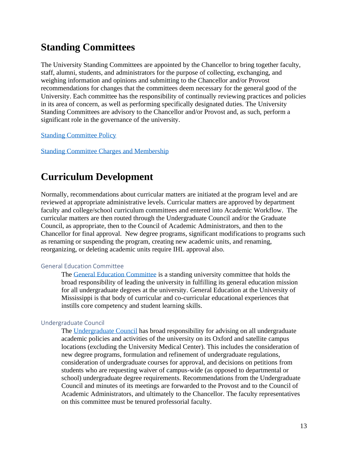### **Standing Committees**

The University Standing Committees are appointed by the Chancellor to bring together faculty, staff, alumni, students, and administrators for the purpose of collecting, exchanging, and weighing information and opinions and submitting to the Chancellor and/or Provost recommendations for changes that the committees deem necessary for the general good of the University. Each committee has the responsibility of continually reviewing practices and policies in its area of concern, as well as performing specifically designated duties. The University Standing Committees are advisory to the Chancellor and/or Provost and, as such, perform a significant role in the governance of the university.

[Standing Committee Policy](https://policies.olemiss.edu/ShowDetails.jsp?istatPara=1&policyObjidPara=10649612)

[Standing Committee Charges and Membership](https://olemiss.edu/aboutum/standingcommittees/)

#### **Curriculum Development**

Normally, recommendations about curricular matters are initiated at the program level and are reviewed at appropriate administrative levels. Curricular matters are approved by department faculty and college/school curriculum committees and entered into Academic Workflow. The curricular matters are then routed through the Undergraduate Council and/or the Graduate Council, as appropriate, then to the Council of Academic Administrators, and then to the Chancellor for final approval. New degree programs, significant modifications to programs such as renaming or suspending the program, creating new academic units, and renaming, reorganizing, or deleting academic units require IHL approval also.

#### General Education Committee

The [General Education Committee](http://provost.olemiss.edu/general-education/) is a standing university committee that holds the broad responsibility of leading the university in fulfilling its general education mission for all undergraduate degrees at the university. General Education at the University of Mississippi is that body of curricular and co-curricular educational experiences that instills core competency and student learning skills.

#### Undergraduate Council

The [Undergraduate Council](https://olemiss.edu/info/committee/?id=10858690&n=UNDERGRADUATE%20COUNCIL) has broad responsibility for advising on all undergraduate academic policies and activities of the university on its Oxford and satellite campus locations (excluding the University Medical Center). This includes the consideration of new degree programs, formulation and refinement of undergraduate regulations, consideration of undergraduate courses for approval, and decisions on petitions from students who are requesting waiver of campus-wide (as opposed to departmental or school) undergraduate degree requirements. Recommendations from the Undergraduate Council and minutes of its meetings are forwarded to the Provost and to the Council of Academic Administrators, and ultimately to the Chancellor. The faculty representatives on this committee must be tenured professorial faculty.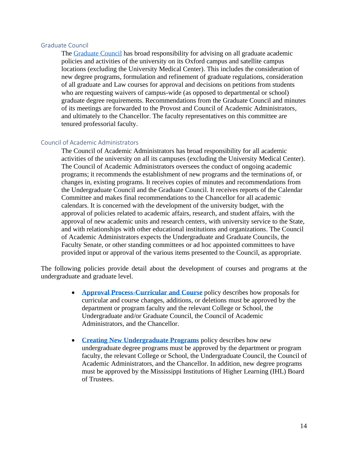#### Graduate Council

The [Graduate Council](https://olemiss.edu/aboutum/standingcommittees/commdetail.php?id=10858671&n=Graduate%20Council) has broad responsibility for advising on all graduate academic policies and activities of the university on its Oxford campus and satellite campus locations (excluding the University Medical Center). This includes the consideration of new degree programs, formulation and refinement of graduate regulations, consideration of all graduate and Law courses for approval and decisions on petitions from students who are requesting waivers of campus-wide (as opposed to departmental or school) graduate degree requirements. Recommendations from the Graduate Council and minutes of its meetings are forwarded to the Provost and Council of Academic Administrators, and ultimately to the Chancellor. The faculty representatives on this committee are tenured professorial faculty.

#### Council of Academic Administrators

The Council of Academic Administrators has broad responsibility for all academic activities of the university on all its campuses (excluding the University Medical Center). The Council of Academic Administrators oversees the conduct of ongoing academic programs; it recommends the establishment of new programs and the terminations of, or changes in, existing programs. It receives copies of minutes and recommendations from the Undergraduate Council and the Graduate Council. It receives reports of the Calendar Committee and makes final recommendations to the Chancellor for all academic calendars. It is concerned with the development of the university budget, with the approval of policies related to academic affairs, research, and student affairs, with the approval of new academic units and research centers, with university service to the State, and with relationships with other educational institutions and organizations. The Council of Academic Administrators expects the Undergraduate and Graduate Councils, the Faculty Senate, or other standing committees or ad hoc appointed committees to have provided input or approval of the various items presented to the Council, as appropriate.

The following policies provide detail about the development of courses and programs at the undergraduate and graduate level.

- **[Approval Process-Curricular and Course](https://policies.olemiss.edu/ShowDetails.jsp?istatPara=1&policyObjidPara=11068096)** policy describes how proposals for curricular and course changes, additions, or deletions must be approved by the department or program faculty and the relevant College or School, the Undergraduate and/or Graduate Council, the Council of Academic Administrators, and the Chancellor.
- **[Creating New Undergraduate Programs](https://policies.olemiss.edu/ShowDetails.jsp?istatPara=1&policyObjidPara=11068097)** policy describes how new undergraduate degree programs must be approved by the department or program faculty, the relevant College or School, the Undergraduate Council, the Council of Academic Administrators, and the Chancellor. In addition, new degree programs must be approved by the Mississippi Institutions of Higher Learning (IHL) Board of Trustees.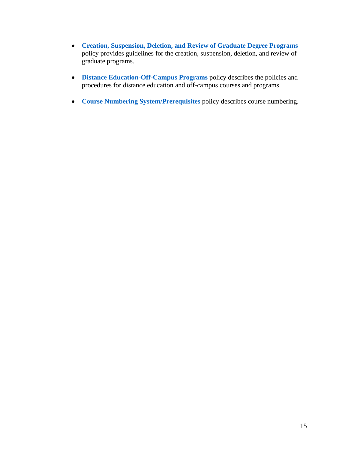- **[Creation, Suspension, Deletion, and Review of Graduate Degree Programs](https://policies.olemiss.edu/ShowDetails.jsp?istatPara=1&policyObjidPara=11060527)** policy provides guidelines for the creation, suspension, deletion, and review of graduate programs.
- **[Distance Education-Off-Campus Programs](https://policies.olemiss.edu/ShowDetails.jsp?istatPara=1&policyObjidPara=10649152)** policy describes the policies and procedures for distance education and off-campus courses and programs.
- **[Course Numbering System/Prerequisites](https://policies.olemiss.edu/ShowDetails.jsp?istatPara=1&policyObjidPara=10649151)** policy describes course numbering.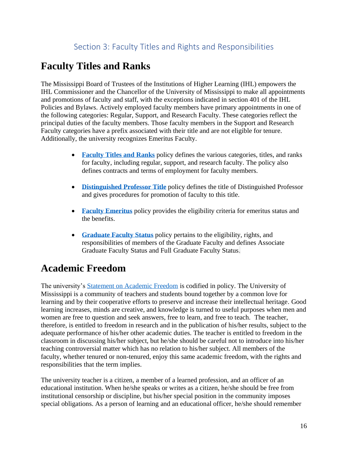# **Faculty Titles and Ranks**

The Mississippi Board of Trustees of the Institutions of Higher Learning (IHL) empowers the IHL Commissioner and the Chancellor of the University of Mississippi to make all appointments and promotions of faculty and staff, with the exceptions indicated in section 401 of the IHL Policies and Bylaws. Actively employed faculty members have primary appointments in one of the following categories: Regular, Support, and Research Faculty. These categories reflect the principal duties of the faculty members. Those faculty members in the Support and Research Faculty categories have a prefix associated with their title and are not eligible for tenure. Additionally, the university recognizes Emeritus Faculty.

- **[Faculty Titles and Ranks](https://policies.olemiss.edu/ShowDetails.jsp?istatPara=1&policyObjidPara=11883237)** policy defines the various categories, titles, and ranks for faculty, including regular, support, and research faculty. The policy also defines contracts and terms of employment for faculty members.
- **[Distinguished Professor Title](https://policies.olemiss.edu/ShowDetails.jsp?istatPara=1&policyObjidPara=11994676)** policy defines the title of Distinguished Professor and gives procedures for promotion of faculty to this title.
- **[Faculty Emeritus](https://policies.olemiss.edu/ShowDetails.jsp?istatPara=1&policyObjidPara=10646972)** policy provides the eligibility criteria for emeritus status and the benefits.
- **[Graduate Faculty](https://policies.olemiss.edu/ShowDetails.jsp?istatPara=1&policyObjidPara=10649613) Status** policy pertains to the eligibility, rights, and responsibilities of members of the Graduate Faculty and defines Associate Graduate Faculty Status and Full Graduate Faculty Status.

### **Academic Freedom**

The university's [Statement on Academic Freedom](https://policies.olemiss.edu/ShowHistory.jsp?policyObjidPara=10646973&istatPara=1) is codified in policy. The University of Mississippi is a community of teachers and students bound together by a common love for learning and by their cooperative efforts to preserve and increase their intellectual heritage. Good learning increases, minds are creative, and knowledge is turned to useful purposes when men and women are free to question and seek answers, free to learn, and free to teach. The teacher, therefore, is entitled to freedom in research and in the publication of his/her results, subject to the adequate performance of his/her other academic duties. The teacher is entitled to freedom in the classroom in discussing his/her subject, but he/she should be careful not to introduce into his/her teaching controversial matter which has no relation to his/her subject. All members of the faculty, whether tenured or non-tenured, enjoy this same academic freedom, with the rights and responsibilities that the term implies.

The university teacher is a citizen, a member of a learned profession, and an officer of an educational institution. When he/she speaks or writes as a citizen, he/she should be free from institutional censorship or discipline, but his/her special position in the community imposes special obligations. As a person of learning and an educational officer, he/she should remember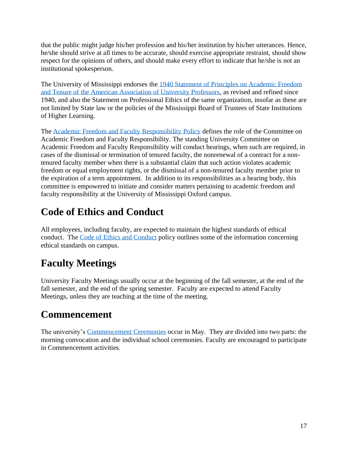that the public might judge his/her profession and his/her institution by his/her utterances. Hence, he/she should strive at all times to be accurate, should exercise appropriate restraint, should show respect for the opinions of others, and should make every effort to indicate that he/she is not an institutional spokesperson.

The University of Mississippi endorses the [1940 Statement of Principles on Academic Freedom](https://www.aaup.org/report/1940-statement-principles-academic-freedom-and-tenure)  [and Tenure of the American Association of University Professors,](https://www.aaup.org/report/1940-statement-principles-academic-freedom-and-tenure) as revised and refined since 1940, and also the Statement on Professional Ethics of the same organization, insofar as these are not limited by State law or the policies of the Mississippi Board of Trustees of State Institutions of Higher Learning.

The [Academic Freedom and Faculty Responsibility Policy](https://policies.olemiss.edu/ShowDetails.jsp?istatPara=1&policyObjidPara=10647003) defines the role of the Committee on Academic Freedom and Faculty Responsibility. The standing University Committee on Academic Freedom and Faculty Responsibility will conduct hearings, when such are required, in cases of the dismissal or termination of tenured faculty, the nonrenewal of a contract for a nontenured faculty member when there is a substantial claim that such action violates academic freedom or equal employment rights, or the dismissal of a non-tenured faculty member prior to the expiration of a term appointment. In addition to its responsibilities as a hearing body, this committee is empowered to initiate and consider matters pertaining to academic freedom and faculty responsibility at the University of Mississippi Oxford campus.

## **Code of Ethics and Conduct**

All employees, including faculty, are expected to maintain the highest standards of ethical conduct. The [Code of Ethics and Conduct](https://policies.olemiss.edu/ShowDetails.jsp?istatPara=1&policyObjidPara=11820374) policy outlines some of the information concerning ethical standards on campus.

# **Faculty Meetings**

University Faculty Meetings usually occur at the beginning of the fall semester, at the end of the fall semester, and the end of the spring semester. Faculty are expected to attend Faculty Meetings, unless they are teaching at the time of the meeting.

### **Commencement**

The university's [Commencement Ceremonies](http://commencement.olemiss.edu/) occur in May. They are divided into two parts: the morning convocation and the individual school ceremonies. Faculty are encouraged to participate in Commencement activities.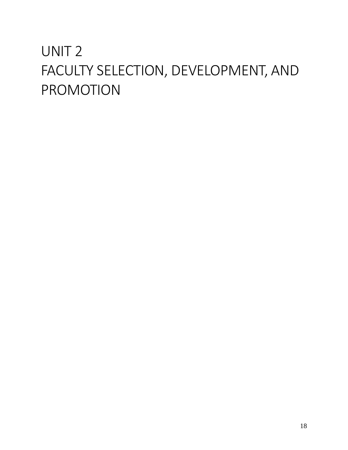# UNIT 2 FACULTY SELECTION, DEVELOPMENT, AND PROMOTION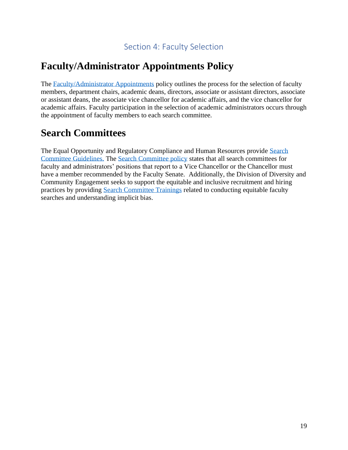#### Section 4: Faculty Selection

#### **Faculty/Administrator Appointments Policy**

The [Faculty/Administrator Appointments](https://policies.olemiss.edu/ShowDetails.jsp?istatPara=1&policyObjidPara=10646966) policy outlines the process for the selection of faculty members, department chairs, academic deans, directors, associate or assistant directors, associate or assistant deans, the associate vice chancellor for academic affairs, and the vice chancellor for academic affairs. Faculty participation in the selection of academic administrators occurs through the appointment of faculty members to each search committee.

#### **Search Committees**

The Equal Opportunity and Regulatory Compliance and Human Resources provide [Search](http://hr.olemiss.edu/wp-content/uploads/sites/93/HR-EORC-Search-Committee-Guide-October-2018.pdf)  [Committee Guidelines.](http://hr.olemiss.edu/wp-content/uploads/sites/93/HR-EORC-Search-Committee-Guide-October-2018.pdf) The [Search Committee policy](https://policies.olemiss.edu/ShowDetails.jsp?istatPara=1&policyObjidPara=10646970) states that all search committees for faculty and administrators' positions that report to a Vice Chancellor or the Chancellor must have a member recommended by the Faculty Senate. Additionally, the Division of Diversity and Community Engagement seeks to support the equitable and inclusive recruitment and hiring practices by providing [Search Committee Trainings](https://diversity.olemiss.edu/search-committee-resources/) related to conducting equitable faculty searches and understanding implicit bias.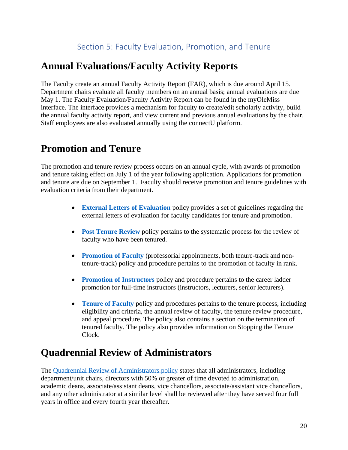#### **Annual Evaluations/Faculty Activity Reports**

The Faculty create an annual Faculty Activity Report (FAR), which is due around April 15. Department chairs evaluate all faculty members on an annual basis; annual evaluations are due May 1. The Faculty Evaluation/Faculty Activity Report can be found in the myOleMiss interface. The interface provides a mechanism for faculty to create/edit scholarly activity, build the annual faculty activity report, and view current and previous annual evaluations by the chair. Staff employees are also evaluated annually using the connectU platform.

#### **Promotion and Tenure**

The promotion and tenure review process occurs on an annual cycle, with awards of promotion and tenure taking effect on July 1 of the year following application. Applications for promotion and tenure are due on September 1. Faculty should receive promotion and tenure guidelines with evaluation criteria from their department.

- **[External Letters of Evaluation](https://policies.olemiss.edu/ShowDetails.jsp?istatPara=1&policyObjidPara=11906696)** policy provides a set of guidelines regarding the external letters of evaluation for faculty candidates for tenure and promotion.
- **[Post Tenure Review](https://policies.olemiss.edu/ShowDetails.jsp?istatPara=1&policyObjidPara=10647012)** policy pertains to the systematic process for the review of faculty who have been tenured.
- **[Promotion of Faculty](https://policies.olemiss.edu/ShowDetails.jsp?istatPara=1&policyObjidPara=10647015)** (professorial appointments, both tenure-track and nontenure-track) policy and procedure pertains to the promotion of faculty in rank.
- **[Promotion of Instructors](https://policies.olemiss.edu/ShowDetails.jsp?istatPara=1&policyObjidPara=10647018)** policy and procedure pertains to the career ladder promotion for full-time instructors (instructors, lecturers, senior lecturers).
- **[Tenure of Faculty](https://policies.olemiss.edu/ShowDetails.jsp?istatPara=1&policyObjidPara=10647010)** policy and procedures pertains to the tenure process, including eligibility and criteria, the annual review of faculty, the tenure review procedure, and appeal procedure. The policy also contains a section on the termination of tenured faculty. The policy also provides information on Stopping the Tenure Clock.

#### **Quadrennial Review of Administrators**

The [Quadrennial Review of Administrators policy](https://policies.olemiss.edu/ShowDetails.jsp?istatPara=1&policyObjidPara=10647001) states that all administrators, including department/unit chairs, directors with 50% or greater of time devoted to administration, academic deans, associate/assistant deans, vice chancellors, associate/assistant vice chancellors, and any other administrator at a similar level shall be reviewed after they have served four full years in office and every fourth year thereafter.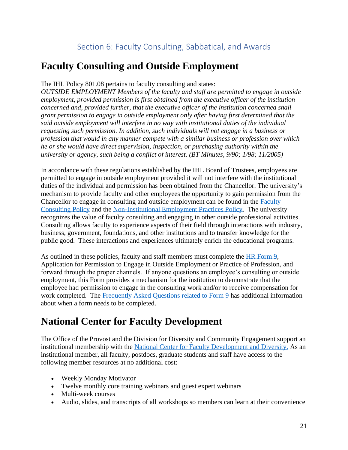### **Faculty Consulting and Outside Employment**

#### The IHL Policy 801.08 pertains to faculty consulting and states:

*OUTSIDE EMPLOYMENT Members of the faculty and staff are permitted to engage in outside employment, provided permission is first obtained from the executive officer of the institution concerned and, provided further, that the executive officer of the institution concerned shall grant permission to engage in outside employment only after having first determined that the said outside employment will interfere in no way with institutional duties of the individual requesting such permission. In addition, such individuals will not engage in a business or profession that would in any manner compete with a similar business or profession over which he or she would have direct supervision, inspection, or purchasing authority within the university or agency, such being a conflict of interest. (BT Minutes, 9/90; 1/98; 11/2005)* 

In accordance with these regulations established by the IHL Board of Trustees, employees are permitted to engage in outside employment provided it will not interfere with the institutional duties of the individual and permission has been obtained from the Chancellor. The university's mechanism to provide faculty and other employees the opportunity to gain permission from the Chancellor to engage in consulting and outside employment can be found in the [Faculty](https://policies.olemiss.edu/ShowDetails.jsp?istatPara=1&policyObjidPara=10647006)  [Consulting Policy](https://policies.olemiss.edu/ShowDetails.jsp?istatPara=1&policyObjidPara=10647006) and the [Non-Institutional Employment Practices Policy.](https://policies.olemiss.edu/ShowDetails.jsp?istatPara=1&policyObjidPara=10656209) The university recognizes the value of faculty consulting and engaging in other outside professional activities. Consulting allows faculty to experience aspects of their field through interactions with industry, business, government, foundations, and other institutions and to transfer knowledge for the public good. These interactions and experiences ultimately enrich the educational programs.

As outlined in these policies, faculty and staff members must complete the [HR Form 9,](http://hr.olemiss.edu/wp-content/uploads/sites/93/Form9_2014.pdf) Application for Permission to Engage in Outside Employment or Practice of Profession, and forward through the proper channels. If anyone questions an employee's consulting or outside employment, this Form provides a mechanism for the institution to demonstrate that the employee had permission to engage in the consulting work and/or to receive compensation for work completed. The [Frequently Asked Questions related to Form 9](https://hr.olemiss.edu/wp-content/uploads/sites/93/2016/05/Form9_FAQ_February2015.pdf) has additional information about when a form needs to be completed.

#### **National Center for Faculty Development**

The Office of the Provost and the Division for Diversity and Community Engagement support an institutional membership with the [National Center for Faculty Development and Diversity.](https://www.facultydiversity.org/) As an institutional member, all faculty, postdocs, graduate students and staff have access to the following member resources at no additional cost:

- Weekly [Monday Motivator](http://www.facultydiversity.org/?page=MondayMotivator)
- Twelve monthly [core training webinars](http://www.facultydiversity.org/?page=CoreCurriculum) and guest expert webinars
- [Multi-week courses](http://www.facultydiversity.org/?page=FacilitatedLearning)
- Audio, slides, and transcripts of all workshops so members can learn at their convenience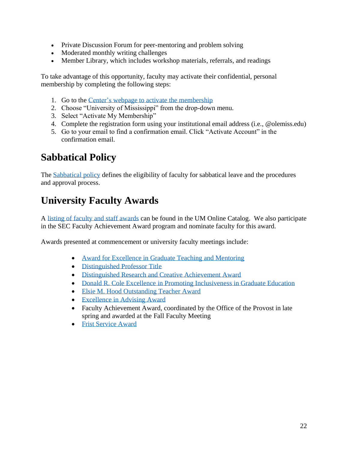- Private [Discussion Forum](http://www.facultydiversity.org/forums/Default.aspx) for peer-mentoring and problem solving
- Moderated monthly writing challenges
- [Member Library,](https://www.facultydiversity.org/library) which includes workshop materials, referrals, and readings

To take advantage of this opportunity, faculty may activate their confidential, personal membership by completing the following steps:

- 1. Go to the [Center's webpage to activate the membership](http://www.facultydiversity.org/Join)
- 2. Choose "University of Mississippi" from the drop-down menu.
- 3. Select "Activate My Membership"
- 4. Complete the registration form using your institutional email address (i.e., @olemiss.edu)
- 5. Go to your email to find a confirmation email. Click "Activate Account" in the confirmation email.

## **Sabbatical Policy**

The [Sabbatical](https://policies.olemiss.edu/ShowDetails.jsp?istatPara=1&policyObjidPara=10647007) policy defines the eligibility of faculty for sabbatical leave and the procedures and approval process.

## **University Faculty Awards**

A [listing of faculty and staff awards](https://catalog.olemiss.edu/awards.) can be found in the UM Online Catalog. We also participate in the SEC Faculty Achievement Award program and nominate faculty for this award.

Awards presented at commencement or university faculty meetings include:

- [Award for Excellence in Graduate Teaching and Mentoring](https://gradschool.olemiss.edu/awards-and-recognitions/)
- [Distinguished Professor Title](https://policies.olemiss.edu/ShowDetails.jsp?istatPara=1&policyObjidPara=11994676)
- [Distinguished Research and Creative Achievement Award](https://research.olemiss.edu/distinguishedresearch)
- [Donald R. Cole Excellence in Promoting Inclusiveness in Graduate Education](https://gradschool.olemiss.edu/awards-and-recognitions/)
- [Elsie M. Hood Outstanding Teacher Award](http://cetl.olemiss.edu/faculty/teaching-awards/elsie-m-hood-outstanding-teacher-award/)
- [Excellence in Advising Award](https://cssfye.olemiss.edu/advising-awards/)
- Faculty Achievement Award, coordinated by the Office of the Provost in late spring and awarded at the Fall Faculty Meeting
- [Frist Service Award](https://olemiss.edu/frist_award/)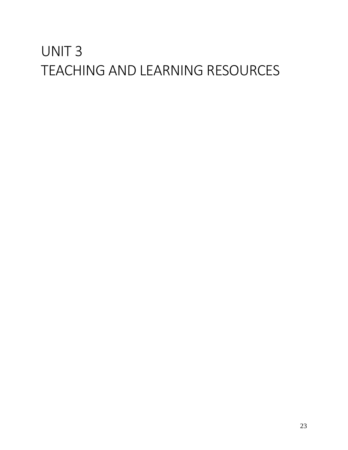# UNIT 3 TEACHING AND LEARNING RESOURCES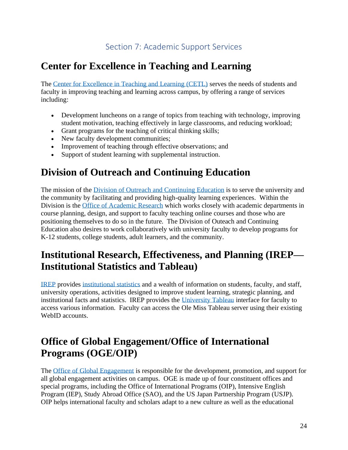### **Center for Excellence in Teaching and Learning**

The [Center for Excellence in Teaching and Learning \(CETL\)](http://cetl.olemiss.edu/) serves the needs of students and faculty in improving teaching and learning across campus, by offering a range of services including:

- Development luncheons on a range of topics from teaching with technology, improving student motivation, teaching effectively in large classrooms, and reducing workload;
- Grant programs for the teaching of critical thinking skills;
- New faculty development communities;
- Improvement of teaching through effective observations; and
- Support of student learning with supplemental instruction.

### **Division of Outreach and Continuing Education**

The mission of the [Division of Outreach and Continuing Education](http://www.outreach.olemiss.edu/) is to serve the university and the community by facilitating and providing high-quality learning experiences. Within the Division is the [Office of Academic Research](http://elearning.olemiss.edu/) which works closely with academic departments in course planning, design, and support to faculty teaching online courses and those who are positioning themselves to do so in the future. The Division of Outeach and Continuing Education also desires to work collaboratively with university faculty to develop programs for K-12 students, college students, adult learners, and the community.

### **Institutional Research, Effectiveness, and Planning (IREP— Institutional Statistics and Tableau)**

[IREP](https://irep.olemiss.edu/) provides [institutional statistics](https://olemiss.edu/aboutum/facts.html) and a wealth of information on students, faculty, and staff, university operations, activities designed to improve student learning, strategic planning, and institutional facts and statistics. IREP provides the [University Tableau](http://tableau.olemiss.edu/) interface for faculty to access various information. Faculty can access the Ole Miss Tableau server using their existing WebID accounts.

### **Office of Global Engagement/Office of International Programs (OGE/OIP)**

The [Office of Global Engagement](https://oge.olemiss.edu/) is responsible for the development, promotion, and support for all global engagement activities on campus. OGE is made up of four constituent offices and special programs, including the Office of International Programs (OIP), Intensive English Program (IEP), Study Abroad Office (SAO), and the US Japan Partnership Program (USJP). OIP helps international faculty and scholars adapt to a new culture as well as the educational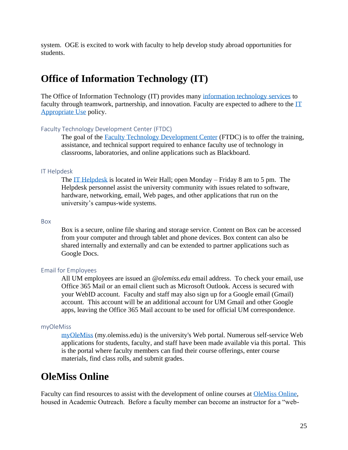system. OGE is excited to work with faculty to help develop study abroad opportunities for students.

#### **Office of Information Technology (IT)**

The Office of Information Technology (IT) provides many [information technology services](https://olemiss.edu/depts/it/servicesr1.html?class=sortcat2) to faculty through teamwork, partnership, and innovation. Faculty are expected to adhere to the  $\Gamma\Gamma$ [Appropriate Use](https://policies.olemiss.edu/ShowDetails.jsp?istatPara=1&policyObjidPara=10642998) policy.

#### Faculty Technology Development Center (FTDC)

The goal of the [Faculty Technology Development Center](https://olemiss.edu/ftdc/) (FTDC) is to offer the training, assistance, and technical support required to enhance faculty use of technology in classrooms, laboratories, and online applications such as Blackboard.

#### IT Helpdesk

The [IT Helpdesk](https://olemiss.edu/helpdesk/) is located in Weir Hall; open Monday – Friday 8 am to 5 pm. The Helpdesk personnel assist the university community with issues related to software, hardware, networking, email, Web pages, and other applications that run on the university's campus-wide systems.

#### Box

Box is a secure, online file sharing and storage service. Content on Box can be accessed from your computer and through tablet and phone devices. Box content can also be shared internally and externally and can be extended to partner applications such as Google Docs.

#### Email for Employees

All UM employees are issued an *@olemiss.edu* email address. To check your email, use Office 365 Mail or an email client such as Microsoft Outlook. Access is secured with your WebID account. Faculty and staff may also sign up for a Google email (Gmail) account. This account will be an additional account for UM Gmail and other Google apps, leaving the Office 365 Mail account to be used for official UM correspondence.

#### myOleMiss

[myOleMiss](https://my.olemiss.edu/irj/portal) (my.olemiss.edu) is the university's Web portal. Numerous self-service Web applications for students, faculty, and staff have been made available via this portal. This is the portal where faculty members can find their course offerings, enter course materials, find class rolls, and submit grades.

#### **OleMiss Online**

Faculty can find resources to assist with the development of online courses at [OleMiss Online,](http://www.online.olemiss.edu/) housed in Academic Outreach. Before a faculty member can become an instructor for a "web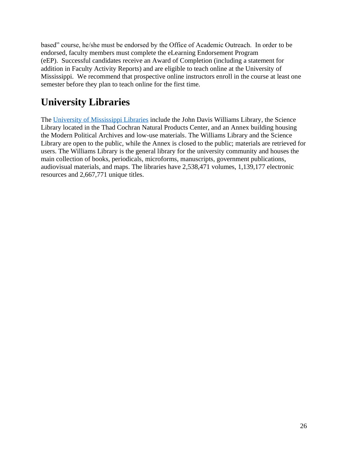based" course, he/she must be endorsed by the Office of Academic Outreach. In order to be endorsed, faculty members must complete the eLearning Endorsement Program (eEP). Successful candidates receive an Award of Completion (including a statement for addition in Faculty Activity Reports) and are eligible to teach online at the University of Mississippi. We recommend that prospective online instructors enroll in the course at least one semester before they plan to teach online for the first time.

# **University Libraries**

The [University of Mississippi Libraries](https://libraries.olemiss.edu/) include the [John Davis Williams Library,](https://libraries.olemiss.edu/) the [Science](https://www.libraries.olemiss.edu/uml/science-library)  [Library](https://www.libraries.olemiss.edu/uml/science-library) located in the Thad Cochran Natural Products Center, and an Annex building housing the Modern Political Archives and low-use materials. The Williams Library and the Science Library are open to the public, while the Annex is closed to the public; materials are retrieved for users. The Williams Library is the general library for the university community and houses the main collection of books, periodicals, microforms, manuscripts, government publications, audiovisual materials, and maps. The libraries have 2,538,471 volumes, 1,139,177 electronic resources and 2,667,771 unique titles.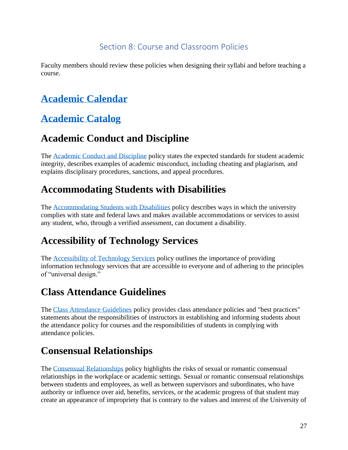#### Section 8: Course and Classroom Policies

Faculty members should review these policies when designing their syllabi and before teaching a course.

# **[Academic Calendar](https://registrar.olemiss.edu/academic-calendar/)**

## **[Academic Catalog](http://catalog.olemiss.edu/)**

## **Academic Conduct and Discipline**

The [Academic Conduct and Discipline](https://policies.olemiss.edu/ShowDetails.jsp?istatPara=1&policyObjidPara=10817696) policy states the expected standards for student academic integrity, describes examples of academic misconduct, including cheating and plagiarism, and explains disciplinary procedures, sanctions, and appeal procedures.

### **Accommodating Students with Disabilities**

The [Accommodating Students with Disabilities](https://policies.olemiss.edu/ShowDetails.jsp?istatPara=1&policyObjidPara=10881938) policy describes ways in which the university complies with state and federal laws and makes available accommodations or services to assist any student, who, through a verified assessment, can document a disability.

# **Accessibility of Technology Services**

The [Accessibility of Technology Services](https://policies.olemiss.edu/ShowDetails.jsp?istatPara=1&policyObjidPara=11379488) policy outlines the importance of providing information technology services that are accessible to everyone and of adhering to the principles of "universal design."

#### **Class Attendance Guidelines**

The [Class Attendance Guidelines](https://policies.olemiss.edu/ShowDetails.jsp?istatPara=1&policyObjidPara=11527112) policy provides class attendance policies and "best practices" statements about the responsibilities of instructors in establishing and informing students about the attendance policy for courses and the responsibilities of students in complying with attendance policies.

### **Consensual Relationships**

The [Consensual Relationships](https://policies.olemiss.edu/ShowDetails.jsp?istatPara=1&policyObjidPara=12265854) policy highlights the risks of sexual or romantic consensual relationships in the workplace or academic settings. Sexual or romantic consensual relationships between students and employees, as well as between supervisors and subordinates, who have authority or influence over aid, benefits, services, or the academic progress of that student may create an appearance of impropriety that is contrary to the values and interest of the University of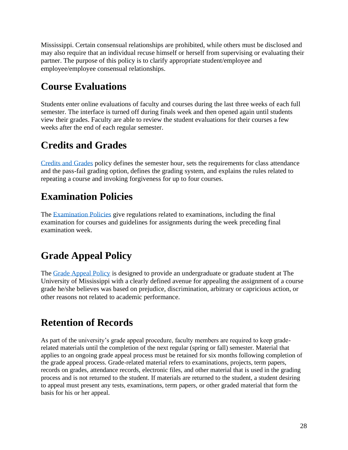Mississippi. Certain consensual relationships are prohibited, while others must be disclosed and may also require that an individual recuse himself or herself from supervising or evaluating their partner. The purpose of this policy is to clarify appropriate student/employee and employee/employee consensual relationships.

## **Course Evaluations**

Students enter online evaluations of faculty and courses during the last three weeks of each full semester. The interface is turned off during finals week and then opened again until students view their grades. Faculty are able to review the student evaluations for their courses a few weeks after the end of each regular semester.

# **Credits and Grades**

[Credits and Grades](https://policies.olemiss.edu/ShowDetails.jsp?istatPara=1&policyObjidPara=10647554) policy defines the semester hour, sets the requirements for class attendance and the pass-fail grading option, defines the grading system, and explains the rules related to repeating a course and invoking forgiveness for up to four courses.

# **Examination Policies**

The [Examination Policies](https://policies.olemiss.edu/ShowDetails.jsp?istatPara=1&policyObjidPara=10647552) give regulations related to examinations, including the final examination for courses and guidelines for assignments during the week preceding final examination week.

# **Grade Appeal Policy**

The [Grade Appeal Policy](https://policies.olemiss.edu/ShowDetails.jsp?istatPara=1&policyObjidPara=10818079) is designed to provide an undergraduate or graduate student at The University of Mississippi with a clearly defined avenue for appealing the assignment of a course grade he/she believes was based on prejudice, discrimination, arbitrary or capricious action, or other reasons not related to academic performance.

# **Retention of Records**

As part of the university's grade appeal procedure, faculty members are required to keep graderelated materials until the completion of the next regular (spring or fall) semester. Material that applies to an ongoing grade appeal process must be retained for six months following completion of the grade appeal process. Grade-related material refers to examinations, projects, term papers, records on grades, attendance records, electronic files, and other material that is used in the grading process and is not returned to the student. If materials are returned to the student, a student desiring to appeal must present any tests, examinations, term papers, or other graded material that form the basis for his or her appeal.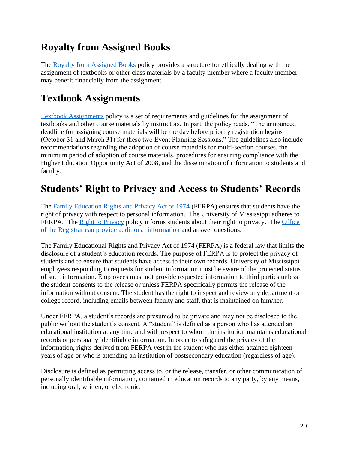### **Royalty from Assigned Books**

The [Royalty from Assigned Books](https://policies.olemiss.edu/ShowDetails.jsp?istatPara=1&policyObjidPara=12119628) policy provides a structure for ethically dealing with the assignment of textbooks or other class materials by a faculty member where a faculty member may benefit financially from the assignment.

### **Textbook Assignments**

[Textbook Assignments](https://policies.olemiss.edu/ShowDetails.jsp?istatPara=1&policyObjidPara=11276804) policy is a set of requirements and guidelines for the assignment of textbooks and other course materials by instructors. In part, the policy reads, "The announced deadline for assigning course materials will be the day before priority registration begins (October 31 and March 31) for these two Event Planning Sessions." The guidelines also include recommendations regarding the adoption of course materials for multi-section courses, the minimum period of adoption of course materials, procedures for ensuring compliance with the Higher Education Opportunity Act of 2008, and the dissemination of information to students and faculty.

### **Students' Right to Privacy and Access to Students' Records**

The [Family Education Rights and Privacy Act of 1974](https://policies.olemiss.edu/ShowDetails.jsp?istatPara=1&policyObjidPara=10649383) (FERPA) ensures that students have the right of privacy with respect to personal information. The University of Mississippi adheres to FERPA. The [Right to Privacy](https://policies.olemiss.edu/ShowDetails.jsp?istatPara=1&policyObjidPara=11079470) policy informs students about their right to privacy. The Office [of the Registrar can provide additional information](https://registrar.olemiss.edu/privacy-act-ferpa/) and answer questions.

The Family Educational Rights and Privacy Act of 1974 (FERPA) is a federal law that limits the disclosure of a student's education records. The purpose of FERPA is to protect the privacy of students and to ensure that students have access to their own records. University of Mississippi employees responding to requests for student information must be aware of the protected status of such information. Employees must not provide requested information to third parties unless the student consents to the release or unless FERPA specifically permits the release of the information without consent. The student has the right to inspect and review any department or college record, including emails between faculty and staff, that is maintained on him/her.

Under FERPA, a student's records are presumed to be private and may not be disclosed to the public without the student's consent. A "student" is defined as a person who has attended an educational institution at any time and with respect to whom the institution maintains educational records or personally identifiable information. In order to safeguard the privacy of the information, rights derived from FERPA vest in the student who has either attained eighteen years of age or who is attending an institution of postsecondary education (regardless of age).

Disclosure is defined as permitting access to, or the release, transfer, or other communication of personally identifiable information, contained in education records to any party, by any means, including oral, written, or electronic.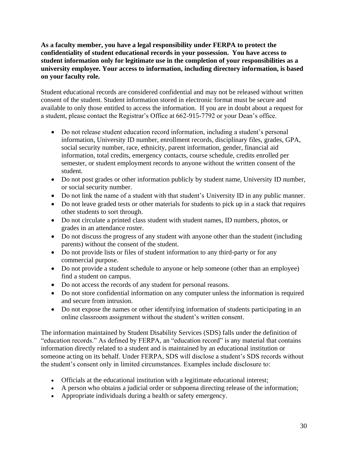#### **As a faculty member, you have a legal responsibility under FERPA to protect the confidentiality of student educational records in your possession. You have access to student information only for legitimate use in the completion of your responsibilities as a university employee. Your access to information, including directory information, is based on your faculty role.**

Student educational records are considered confidential and may not be released without written consent of the student. Student information stored in electronic format must be secure and available to only those entitled to access the information. If you are in doubt about a request for a student, please contact the Registrar's Office at 662-915-7792 or your Dean's office.

- Do not release student education record information, including a student's personal information, University ID number, enrollment records, disciplinary files, grades, GPA, social security number, race, ethnicity, parent information, gender, financial aid information, total credits, emergency contacts, course schedule, credits enrolled per semester, or student employment records to anyone without the written consent of the student.
- Do not post grades or other information publicly by student name, University ID number, or social security number.
- Do not link the name of a student with that student's University ID in any public manner.
- Do not leave graded tests or other materials for students to pick up in a stack that requires other students to sort through.
- Do not circulate a printed class student with student names, ID numbers, photos, or grades in an attendance roster.
- Do not discuss the progress of any student with anyone other than the student (including parents) without the consent of the student.
- Do not provide lists or files of student information to any third-party or for any commercial purpose.
- Do not provide a student schedule to anyone or help someone (other than an employee) find a student on campus.
- Do not access the records of any student for personal reasons.
- Do not store confidential information on any computer unless the information is required and secure from intrusion.
- Do not expose the names or other identifying information of students participating in an online classroom assignment without the student's written consent.

The information maintained by Student Disability Services (SDS) falls under the definition of "education records." As defined by FERPA, an "education record" is any material that contains information directly related to a student and is maintained by an educational institution or someone acting on its behalf. Under FERPA, SDS will disclose a student's SDS records without the student's consent only in limited circumstances. Examples include disclosure to:

- Officials at the educational institution with a legitimate educational interest;
- A person who obtains a judicial order or subpoena directing release of the information;
- Appropriate individuals during a health or safety emergency.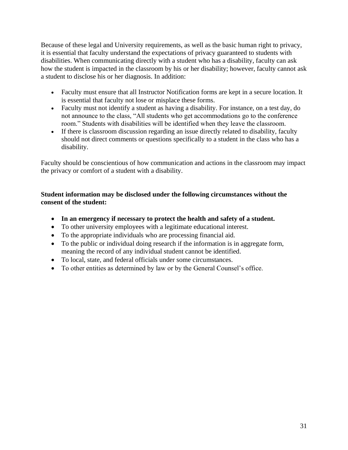Because of these legal and University requirements, as well as the basic human right to privacy, it is essential that faculty understand the expectations of privacy guaranteed to students with disabilities. When communicating directly with a student who has a disability, faculty can ask how the student is impacted in the classroom by his or her disability; however, faculty cannot ask a student to disclose his or her diagnosis. In addition:

- Faculty must ensure that all Instructor Notification forms are kept in a secure location. It is essential that faculty not lose or misplace these forms.
- Faculty must not identify a student as having a disability. For instance, on a test day, do not announce to the class, "All students who get accommodations go to the conference room." Students with disabilities will be identified when they leave the classroom.
- If there is classroom discussion regarding an issue directly related to disability, faculty should not direct comments or questions specifically to a student in the class who has a disability.

Faculty should be conscientious of how communication and actions in the classroom may impact the privacy or comfort of a student with a disability.

#### **Student information may be disclosed under the following circumstances without the consent of the student:**

- **In an emergency if necessary to protect the health and safety of a student.**
- To other university employees with a legitimate educational interest.
- To the appropriate individuals who are processing financial aid.
- To the public or individual doing research if the information is in aggregate form, meaning the record of any individual student cannot be identified.
- To local, state, and federal officials under some circumstances.
- To other entities as determined by law or by the General Counsel's office.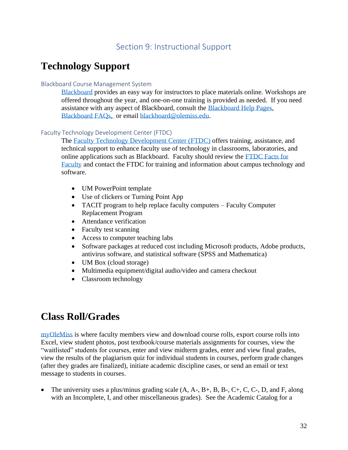#### Section 9: Instructional Support

#### **Technology Support**

#### Blackboard Course Management System

[Blackboard](https://blackboard.olemiss.edu/) provides an easy way for instructors to place materials online. Workshops are offered throughout the year, and one-on-one training is provided as needed. If you need assistance with any aspect of Blackboard, consult the [Blackboard Help Pages,](https://olemiss.edu/blackboard/Blackboard_Support_and_Training/Blackboard_Support.html) [Blackboard FAQs,](https://olemiss.edu/helpdesk/faq.php?cat=13) or email [blackboard@olemiss.edu.](mailto:blackboard@olemiss.edu)

#### Faculty Technology Development Center (FTDC)

The [Faculty Technology Development Center \(FTDC\)](https://olemiss.edu/depts/ftdc/) offers training, assistance, and technical support to enhance faculty use of technology in classrooms, laboratories, and online applications such as Blackboard. Faculty should review the [FTDC Facts for](https://olemiss.edu/ftdc/_downloads/ftdc-2019.pdf)  [Faculty](https://olemiss.edu/ftdc/_downloads/ftdc-2019.pdf) and contact the FTDC for training and information about campus technology and software.

- UM PowerPoint template
- Use of clickers or Turning Point App
- TACIT program to help replace faculty computers Faculty Computer Replacement Program
- Attendance verification
- Faculty test scanning
- Access to computer teaching labs
- Software packages at reduced cost including Microsoft products, Adobe products, antivirus software, and statistical software (SPSS and Mathematica)
- UM Box (cloud storage)
- Multimedia equipment/digital audio/video and camera checkout
- Classroom technology

#### **Class Roll/Grades**

[myOleMiss](https://my.olemiss.edu/irj/portal) is where faculty members view and download course rolls, export course rolls into Excel, view student photos, post textbook/course materials assignments for courses, view the "waitlisted" students for courses, enter and view midterm grades, enter and view final grades, view the results of the plagiarism quiz for individual students in courses, perform grade changes (after they grades are finalized), initiate academic discipline cases, or send an email or text message to students in courses.

• The university uses a plus/minus grading scale  $(A, A-, B+, B, B-, C+, C, C, D, and F, along$ with an Incomplete, I, and other miscellaneous grades). See the Academic Catalog for a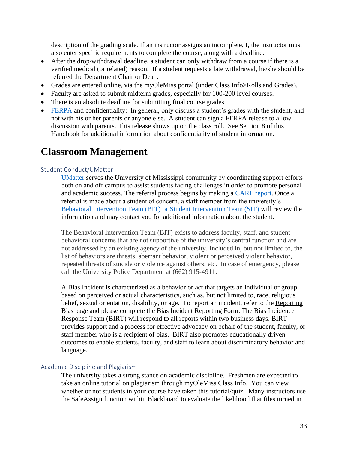description of the grading scale. If an instructor assigns an incomplete, I, the instructor must also enter specific requirements to complete the course, along with a deadline.

- After the drop/withdrawal deadline, a student can only withdraw from a course if there is a verified medical (or related) reason. If a student requests a late withdrawal, he/she should be referred the Department Chair or Dean.
- Grades are entered online, via the myOleMiss portal (under Class Info>Rolls and Grades).
- Faculty are asked to submit midterm grades, especially for 100-200 level courses.
- There is an absolute deadline for submitting final course grades.
- [FERPA](https://policies.olemiss.edu/ShowDetails.jsp?istatPara=1&policyObjidPara=10649383) and confidentiality: In general, only discuss a student's grades with the student, and not with his or her parents or anyone else. A student can sign a FERPA release to allow discussion with parents. This release shows up on the class roll. See Section 8 of this Handbook for additional information about confidentiality of student information.

#### **Classroom Management**

#### Student Conduct/UMatter

[UMatter](http://umatter.olemiss.edu/bit/) serves the University of Mississippi community by coordinating support efforts both on and off campus to assist students facing challenges in order to promote personal and academic success. The referral process begins by making a [CARE](https://cm.maxient.com/reportingform.php?UnivofMississippi&layout_id=3) [report.](https://cm.maxient.com/reportingform.php?UnivofMississippi&layout_id=3) Once a referral is made about a student of concern, a staff member from the university's [Behavioral Intervention Team \(BIT\)](https://umatter.olemiss.edu/bit/) or [Student Intervention Team \(SIT\)](https://umatter.olemiss.edu/student-intervention-team-sit/) will review the information and may contact you for additional information about the student.

The Behavioral Intervention Team (BIT) exists to address faculty, staff, and student behavioral concerns that are not supportive of the university's central function and are not addressed by an existing agency of the university. Included in, but not limited to, the list of behaviors are threats, aberrant behavior, violent or perceived violent behavior, repeated threats of suicide or violence against others, etc. In case of emergency, please call the University Police Department at (662) 915-4911.

A Bias Incident is characterized as a behavior or act that targets an individual or group based on perceived or actual characteristics, such as, but not limited to, race, religious belief, sexual orientation, disability, or age. To report an incident, refer to the Reporting [Bias page](http://birt.olemiss.edu/reporting-bias/) and please complete the Bias Incident [Reporting Form.](https://publicdocs.maxient.com/reportingform.php?UnivofMississippi&layout_id=5) The Bias Incidence Response Team (BIRT) will respond to all reports within two business days. BIRT provides support and a process for effective advocacy on behalf of the student, faculty, or staff member who is a recipient of bias. BIRT also promotes educationally driven outcomes to enable students, faculty, and staff to learn about discriminatory behavior and language.

#### Academic Discipline and Plagiarism

The university takes a strong stance on academic discipline. Freshmen are expected to take an online tutorial on plagiarism through myOleMiss Class Info. You can view whether or not students in your course have taken this tutorial/quiz. Many instructors use the SafeAssign function within Blackboard to evaluate the likelihood that files turned in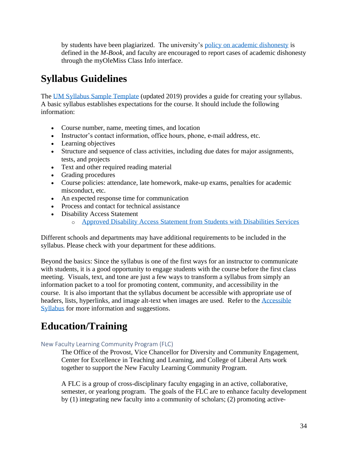by students have been plagiarized. The university's [policy on academic dishonesty](https://communications.olemiss.edu/wp-content/uploads/sites/5/2017/10/MBook.pdf) is defined in the *M-Book,* and faculty are encouraged to report cases of academic dishonesty through the myOleMiss Class Info interface.

# **Syllabus Guidelines**

The [UM Syllabus Sample Template](http://cetl.olemiss.edu/wp-content/uploads/sites/83/2019/08/Sample-Syllabus-Template.docx) (updated 2019) provides a guide for creating your syllabus. A basic syllabus establishes expectations for the course. It should include the following information:

- Course number, name, meeting times, and location
- Instructor's contact information, office hours, phone, e-mail address, etc.
- Learning objectives
- Structure and sequence of class activities, including due dates for major assignments, tests, and projects
- Text and other required reading material
- Grading procedures
- Course policies: attendance, late homework, make-up exams, penalties for academic misconduct, etc.
- An expected response time for communication
- Process and contact for technical assistance
- Disability Access Statement
	- o [Approved Disability Access Statement from Students with Disabilities Services](https://sds.olemiss.edu/syllabus-statement/)

Different schools and departments may have additional requirements to be included in the syllabus. Please check with your department for these additions.

Beyond the basics: Since the syllabus is one of the first ways for an instructor to communicate with students, it is a good opportunity to engage students with the course before the first class meeting. Visuals, text, and tone are just a few ways to transform a syllabus from simply an information packet to a tool for promoting content, community, and accessibility in the course. It is also important that the syllabus document be accessible with appropriate use of headers, lists, hyperlinks, and image alt-text when images are used. Refer to the [Accessible](https://accessiblesyllabus.tulane.edu/)  [Syllabus](https://accessiblesyllabus.tulane.edu/) for more information and suggestions.

### **Education/Training**

#### New Faculty Learning Community Program (FLC)

The Office of the Provost, Vice Chancellor for Diversity and Community Engagement, Center for Excellence in Teaching and Learning, and College of Liberal Arts work together to support the New Faculty Learning Community Program.

A FLC is a group of cross-disciplinary faculty engaging in an active, collaborative, semester, or yearlong program. The goals of the FLC are to enhance faculty development by (1) integrating new faculty into a community of scholars; (2) promoting active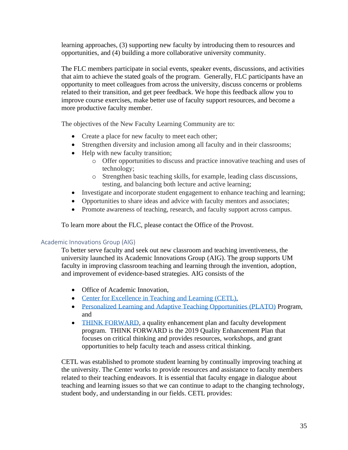learning approaches, (3) supporting new faculty by introducing them to resources and opportunities, and (4) building a more collaborative university community.

The FLC members participate in social events, speaker events, discussions, and activities that aim to achieve the stated goals of the program. Generally, FLC participants have an opportunity to meet colleagues from across the university, discuss concerns or problems related to their transition, and get peer feedback. We hope this feedback allow you to improve course exercises, make better use of faculty support resources, and become a more productive faculty member.

The objectives of the New Faculty Learning Community are to:

- Create a place for new faculty to meet each other;
- Strengthen diversity and inclusion among all faculty and in their classrooms;
- Help with new faculty transition;
	- o Offer opportunities to discuss and practice innovative teaching and uses of technology;
	- o Strengthen basic teaching skills, for example, leading class discussions, testing, and balancing both lecture and active learning;
- Investigate and incorporate student engagement to enhance teaching and learning;
- Opportunities to share ideas and advice with faculty mentors and associates;
- Promote awareness of teaching, research, and faculty support across campus.

To learn more about the FLC, please contact the Office of the Provost.

#### Academic Innovations Group (AIG)

To better serve faculty and seek out new classroom and teaching inventiveness, the university launched its Academic Innovations Group (AIG). The group supports UM faculty in improving classroom teaching and learning through the invention, adoption, and improvement of evidence-based strategies. AIG consists of the

- Office of Academic Innovation,
- [Center for Excellence in Teaching and Learning \(CETL\),](http://cetl.olemiss.edu/)
- [Personalized Learning and Adaptive Teaching Opportunities](https://plato.olemiss.edu/) (PLATO) Program, and
- [THINK FORWARD,](https://thinkforward.olemiss.edu/) a quality enhancement plan and faculty development program. THINK FORWARD is the 2019 Quality Enhancement Plan that focuses on critical thinking and provides resources, workshops, and grant opportunities to help faculty teach and assess critical thinking.

CETL was established to promote student learning by continually improving teaching at the university. The Center works to provide resources and assistance to faculty members related to their teaching endeavors. It is essential that faculty engage in dialogue about teaching and learning issues so that we can continue to adapt to the changing technology, student body, and understanding in our fields. CETL provides: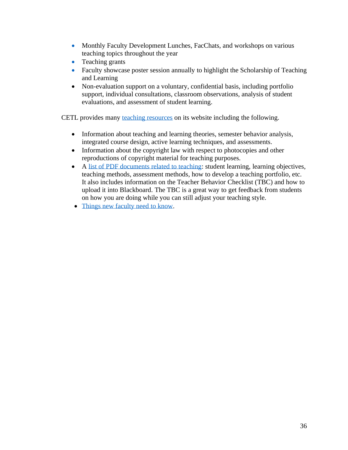- Monthly Faculty Development Lunches, FacChats, and workshops on various teaching topics throughout the year
- Teaching grants
- Faculty showcase poster session annually to highlight the Scholarship of Teaching and Learning
- Non-evaluation support on a voluntary, confidential basis, including portfolio support, individual consultations, classroom observations, analysis of student evaluations, and assessment of student learning.

CETL provides many [teaching resources](http://cetl.olemiss.edu/faculty/teaching-resources/) on its website including the following.

- Information about teaching and learning theories, semester behavior analysis, integrated course design, active learning techniques, and assessments.
- Information about the copyright law with respect to photocopies and other reproductions of copyright material for teaching purposes.
- A [list of PDF documents related to teaching:](http://cetl.olemiss.edu/faculty/newfaculty/new-faculty-teaching-documents/) student learning, learning objectives, teaching methods, assessment methods, how to develop a teaching portfolio, etc. It also includes information on the Teacher Behavior Checklist (TBC) and how to upload it into Blackboard. The TBC is a great way to get feedback from students on how you are doing while you can still adjust your teaching style.
- [Things new faculty need to know.](http://cetl.olemiss.edu/faculty/newfaculty/things-new-faculty-need-to-know/)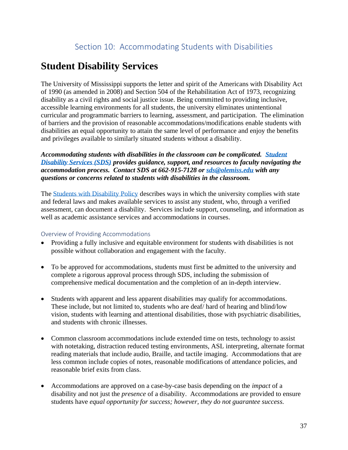# **Student Disability Services**

The University of Mississippi supports the letter and spirit of the Americans with Disability Act of 1990 (as amended in 2008) and Section 504 of the Rehabilitation Act of 1973, recognizing disability as a civil rights and social justice issue. Being committed to providing inclusive, accessible learning environments for all students, the university eliminates unintentional curricular and programmatic barriers to learning, assessment, and participation. The elimination of barriers and the provision of reasonable accommodations/modifications enable students with disabilities an equal opportunity to attain the same level of performance and enjoy the benefits and privileges available to similarly situated students without a disability.

*Accommodating students with disabilities in the classroom can be complicated. [Student](http://sds.olemiss.edu/)  [Disability Services \(SDS\)](http://sds.olemiss.edu/) provides guidance, support, and resources to faculty navigating the accommodation process. Contact SDS at 662-915-7128 or [sds@olemiss.edu](mailto:sds@olemiss.edu) with any questions or concerns related to students with disabilities in the classroom.* 

The [Students with Disability Policy](https://policies.olemiss.edu/ShowDetails.jsp?istatPara=1&policyObjidPara=10881938) describes ways in which the university complies with state and federal laws and makes available services to assist any student, who, through a verified assessment, can document a disability. Services include support, counseling, and information as well as academic assistance services and accommodations in courses.

#### Overview of Providing Accommodations

- Providing a fully inclusive and equitable environment for students with disabilities is not possible without collaboration and engagement with the faculty.
- To be approved for accommodations, students must first be admitted to the university and complete a rigorous approval process through SDS, including the submission of comprehensive medical documentation and the completion of an in-depth interview.
- Students with apparent and less apparent disabilities may qualify for accommodations. These include, but not limited to, students who are deaf/ hard of hearing and blind/low vision, students with learning and attentional disabilities, those with psychiatric disabilities, and students with chronic illnesses.
- Common classroom accommodations include extended time on tests, technology to assist with notetaking, distraction reduced testing environments, ASL interpreting, alternate format reading materials that include audio, Braille, and tactile imaging. Accommodations that are less common include copies of notes, reasonable modifications of attendance policies, and reasonable brief exits from class.
- Accommodations are approved on a case-by-case basis depending on the *impact* of a disability and not just the *presence* of a disability. Accommodations are provided to ensure students have *equal opportunity for success; however, they do not guarantee success.*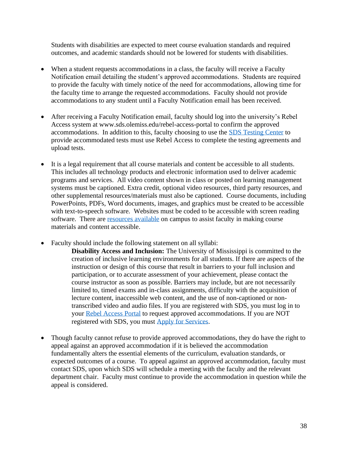Students with disabilities are expected to meet course evaluation standards and required outcomes, and academic standards should not be lowered for students with disabilities.

- When a student requests accommodations in a class, the faculty will receive a Faculty Notification email detailing the student's approved accommodations. Students are required to provide the faculty with timely notice of the need for accommodations, allowing time for the faculty time to arrange the requested accommodations. Faculty should not provide accommodations to any student until a Faculty Notification email has been received.
- After receiving a Faculty Notification email, faculty should log into the university's Rebel Access system at www.sds.olemiss.edu/rebel-access-portal to confirm the approved accommodations. In addition to this, faculty choosing to use the [SDS Testing Center](https://sds.olemiss.edu/sds-testing-center/) to provide accommodated tests must use Rebel Access to complete the testing agreements and upload tests.
- It is a legal requirement that all course materials and content be accessible to all students. This includes all technology products and electronic information used to deliver academic programs and services. All video content shown in class or posted on learning management systems must be captioned. Extra credit, optional video resources, third party resources, and other supplemental resources/materials must also be captioned. Course documents, including PowerPoints, PDFs, Word documents, images, and graphics must be created to be accessible with text-to-speech software. Websites must be coded to be accessible with screen reading software. There are [resources available](http://accessibility.olemiss.edu/) on campus to assist faculty in making course materials and content accessible.
- Faculty should include the following statement on all syllabi:
	- **Disability Access and Inclusion:** The University of Mississippi is committed to the creation of inclusive learning environments for all students. If there are aspects of the instruction or design of this course that result in barriers to your full inclusion and participation, or to accurate assessment of your achievement, please contact the course instructor as soon as possible. Barriers may include, but are not necessarily limited to, timed exams and in-class assignments, difficulty with the acquisition of lecture content, inaccessible web content, and the use of non-captioned or nontranscribed video and audio files. If you are registered with SDS, you must log in to your [Rebel Access Portal](https://sds.olemiss.edu/rebel-access-portal) to request approved accommodations. If you are NOT registered with SDS, you must [Apply for Services.](https://sds.olemiss.edu/apply-for-services.)
- Though faculty cannot refuse to provide approved accommodations, they do have the right to appeal against an approved accommodation if it is believed the accommodation fundamentally alters the essential elements of the curriculum, evaluation standards, or expected outcomes of a course. To appeal against an approved accommodation, faculty must contact SDS, upon which SDS will schedule a meeting with the faculty and the relevant department chair. Faculty must continue to provide the accommodation in question while the appeal is considered.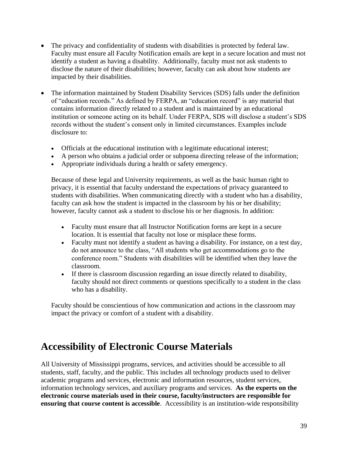- The privacy and confidentiality of students with disabilities is protected by federal law. Faculty must ensure all Faculty Notification emails are kept in a secure location and must not identify a student as having a disability. Additionally, faculty must not ask students to disclose the nature of their disabilities; however, faculty can ask about how students are impacted by their disabilities.
- The information maintained by Student Disability Services (SDS) falls under the definition of "education records." As defined by FERPA, an "education record" is any material that contains information directly related to a student and is maintained by an educational institution or someone acting on its behalf. Under FERPA, SDS will disclose a student's SDS records without the student's consent only in limited circumstances. Examples include disclosure to:
	- Officials at the educational institution with a legitimate educational interest;
	- A person who obtains a judicial order or subpoena directing release of the information;
	- Appropriate individuals during a health or safety emergency.

Because of these legal and University requirements, as well as the basic human right to privacy, it is essential that faculty understand the expectations of privacy guaranteed to students with disabilities. When communicating directly with a student who has a disability, faculty can ask how the student is impacted in the classroom by his or her disability; however, faculty cannot ask a student to disclose his or her diagnosis. In addition:

- Faculty must ensure that all Instructor Notification forms are kept in a secure location. It is essential that faculty not lose or misplace these forms.
- Faculty must not identify a student as having a disability. For instance, on a test day, do not announce to the class, "All students who get accommodations go to the conference room." Students with disabilities will be identified when they leave the classroom.
- If there is classroom discussion regarding an issue directly related to disability, faculty should not direct comments or questions specifically to a student in the class who has a disability.

Faculty should be conscientious of how communication and actions in the classroom may impact the privacy or comfort of a student with a disability.

## **Accessibility of Electronic Course Materials**

All University of Mississippi programs, services, and activities should be accessible to all students, staff, faculty, and the public. This includes all technology products used to deliver academic programs and services, electronic and information resources, student services, information technology services, and auxiliary programs and services. **As the experts on the electronic course materials used in their course, faculty/instructors are responsible for ensuring that course content is accessible**. Accessibility is an institution-wide responsibility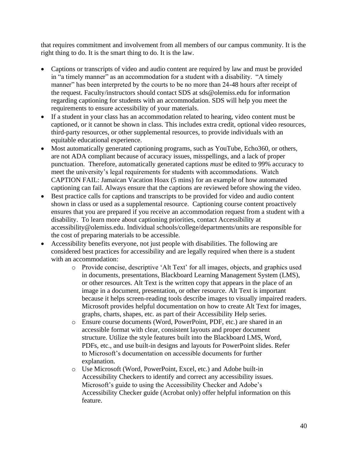that requires commitment and involvement from all members of our campus community. It is the right thing to do. It is the smart thing to do. It is the law.

- Captions or transcripts of video and audio content are required by law and must be provided in "a timely manner" as an accommodation for a student with a disability. "A timely manner" has been interpreted by the courts to be no more than 24-48 hours after receipt of the request. Faculty/instructors should contact SDS at [sds@olemiss.edu](mailto:sds@olemiss.edu) for information regarding captioning for students with an accommodation. SDS will help you meet the requirements to ensure accessibility of your materials.
- If a student in your class has an accommodation related to hearing, video content must be captioned, or it cannot be shown in class. This includes extra credit, optional video resources, third-party resources, or other supplemental resources, to provide individuals with an equitable educational experience.
- Most automatically generated captioning programs, such as YouTube, Echo360, or others, are not ADA compliant because of accuracy issues, misspellings, and a lack of proper punctuation. Therefore, automatically generated captions *must* be edited to 99% accuracy to meet the university's legal requirements for students with accommodations. Watch [CAPTION FAIL: Jamaican Vacation Hoax \(5 mins\)](https://www.youtube.com/watch?v=23H8IdaS3tk) for an example of how automated captioning can fail. Always ensure that the captions are reviewed before showing the video.
- Best practice calls for captions and transcripts to be provided for video and audio content shown in class or used as a supplemental resource. Captioning course content proactively ensures that you are prepared if you receive an accommodation request from a student with a disability. To learn more about captioning priorities, contact Accessibility at [accessibility@olemiss.edu.](mailto:accessibility@olemiss.edu) Individual schools/college/departments/units are responsible for the cost of preparing materials to be accessible.
- Accessibility benefits everyone, not just people with disabilities. The following are considered best practices for accessibility and are legally required when there is a student with an accommodation:
	- o Provide concise, descriptive 'Alt Text' for all images, objects, and graphics used in documents, presentations, Blackboard Learning Management System (LMS), or other resources. Alt Text is the written copy that appears in the place of an image in a document, presentation, or other resource. Alt Text is important because it helps screen-reading tools describe images to visually impaired readers. Microsoft provides [helpful documentation on how to create Alt Text](https://support.office.com/en-us/article/add-alternative-text-to-a-shape-picture-chart-smartart-graphic-or-other-object-44989b2a-903c-4d9a-b742-6a75b451c669#bkmk_o2016_2013) for images, graphs, charts, shapes, etc. as part of their Accessibility Help series.
	- o Ensure course documents (Word, PowerPoint, PDF, etc.) are shared in an accessible format with clear, consistent layouts and proper document structure. Utilize the style features built into the Blackboard LMS, Word, PDFs, etc., and use built-in designs and layouts for PowerPoint slides. Refer to [Microsoft's documentation on accessible documents](https://support.office.com/en-us/article/make-your-word-documents-accessible-to-people-with-disabilities-d9bf3683-87ac-47ea-b91a-78dcacb3c66d#picktab=windows) for further explanation.
	- o Use Microsoft (Word, PowerPoint, Excel, etc.) and Adobe built-in Accessibility Checkers to identify and correct any accessibility issues. [Microsoft's guide to using the Accessibility Checker](https://support.office.com/en-us/article/improve-accessibility-with-the-accessibility-checker-a16f6de0-2f39-4a2b-8bd8-5ad801426c7f#picktab=windows) and [Adobe's](https://helpx.adobe.com/acrobat/using/create-verify-pdf-accessibility.html#check_accessibility_of_PDFs)  [Accessibility Checker guide](https://helpx.adobe.com/acrobat/using/create-verify-pdf-accessibility.html#check_accessibility_of_PDFs) (Acrobat only) offer helpful information on this feature.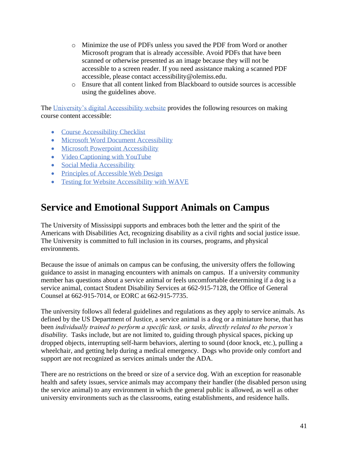- o Minimize the use of PDFs unless you saved the PDF from Word or another Microsoft program that is already accessible. Avoid PDFs that have been scanned or otherwise presented as an image because they will not be accessible to a screen reader. If you need assistance making a scanned PDF accessible, please contact [accessibility@olemiss.edu.](mailto:accessibility@olemiss.edu)
- o Ensure that all content linked from Blackboard to outside sources is accessible using the guidelines above.

The [University's digital Accessibility website](http://accessibility.olemiss.edu/) provides the following resources on making course content accessible:

- [Course Accessibility Checklist](http://accessibility.olemiss.edu/resources/Course_Accessibility_Checklist.pdf)
- [Microsoft Word Document Accessibility](http://accessibility.olemiss.edu/resources/Microsoft_Word_Accessibility.pdf)
- [Microsoft Powerpoint Accessibility](http://accessibility.olemiss.edu/resources/Powerpoint_Accessibility.pdf)
- [Video Captioning with YouTube](http://accessibility.olemiss.edu/resources/YouTube_Captioning.pdf)
- [Social Media Accessibility](http://accessibility.olemiss.edu/resources/Social_Media_Accessibility.pdf)
- [Principles of Accessible Web Design](http://accessibility.olemiss.edu/resources/Accessible_Web_Design.pdf)
- [Testing for Website Accessibility with WAVE](http://accessibility.olemiss.edu/resources/WAVE_Tool_Overview.pdf)

## **Service and Emotional Support Animals on Campus**

The University of Mississippi supports and embraces both the letter and the spirit of the Americans with Disabilities Act, recognizing disability as a civil rights and social justice issue. The University is committed to full inclusion in its courses, programs, and physical environments.

Because the issue of animals on campus can be confusing, the university offers the following guidance to assist in managing encounters with animals on campus. If a university community member has questions about a service animal or feels uncomfortable determining if a dog is a service animal, contact Student Disability Services at 662-915-7128, the Office of General Counsel at 662-915-7014, or EORC at 662-915-7735.

The university follows all federal guidelines and regulations as they apply to service animals. As defined by the US Department of Justice, a service animal is a dog or a miniature horse, that has been *individually trained to perform a specific task, or tasks, directly related to the person's disability.* Tasks include, but are not limited to, guiding through physical spaces, picking up dropped objects, interrupting self-harm behaviors, alerting to sound (door knock, etc.), pulling a wheelchair, and getting help during a medical emergency. Dogs who provide only comfort and support are not recognized as services animals under the ADA.

There are no restrictions on the breed or size of a service dog. With an exception for reasonable health and safety issues, service animals may accompany their handler (the disabled person using the service animal) to any environment in which the general public is allowed, as well as other university environments such as the classrooms, eating establishments, and residence halls.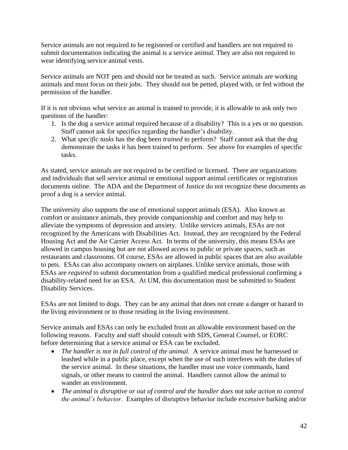Service animals are not required to be registered or certified and handlers are not required to submit documentation indicating the animal is a service animal. They are also not required to wear identifying service animal vests.

Service animals are NOT pets and should not be treated as such. Service animals are working animals and must focus on their jobs. They should not be petted, played with, or fed without the permission of the handler.

If it is not obvious what service an animal is trained to provide, it is allowable to ask only two questions of the handler:

- 1. Is the dog a service animal required because of a disability? This is a yes or no question. Staff cannot ask for specifics regarding the handler's disability.
- 2. What *specific tasks* has the dog been *trained* to perform? Staff cannot ask that the dog demonstrate the tasks it has been trained to perform. See above for examples of specific tasks.

As stated, service animals are not required to be certified or licensed. There are organizations and individuals that sell service animal or emotional support animal certificates or registration documents online. The ADA and the Department of Justice do not recognize these documents as proof a dog is a service animal.

The university also supports the use of emotional support animals (ESA). Also known as comfort or assistance animals, they provide companionship and comfort and may help to alleviate the symptoms of depression and anxiety. Unlike services animals, ESAs are not recognized by the Americans with Disabilities Act. Instead, they are recognized by the Federal Housing Act and the Air Carrier Access Act. In terms of the university, this means ESAs are allowed in campus housing but are not allowed access to public or private spaces, such as restaurants and classrooms. Of course, ESAs are allowed in public spaces that are also available to pets. ESAs can also accompany owners on airplanes. Unlike service animals, those with ESAs are *required* to submit documentation from a qualified medical professional confirming a disability-related need for an ESA. At UM, this documentation must be submitted to Student Disability Services.

ESAs are not limited to dogs. They can be any animal that does not create a danger or hazard to the living environment or to those residing in the living environment.

Service animals and ESAs can only be excluded from an allowable environment based on the following reasons. Faculty and staff should consult with SDS, General Counsel, or EORC before determining that a service animal or ESA can be excluded.

- *The handler is not in full control of the animal.* A service animal must be harnessed or leashed while in a public place, except when the use of such interferes with the duties of the service animal. In these situations, the handler must use voice commands, hand signals, or other means to control the animal. Handlers cannot allow the animal to wander an environment.
- *The animal is disruptive or out of control and the handler does not take action to control the animal's behavior.* Examples of disruptive behavior include excessive barking and/or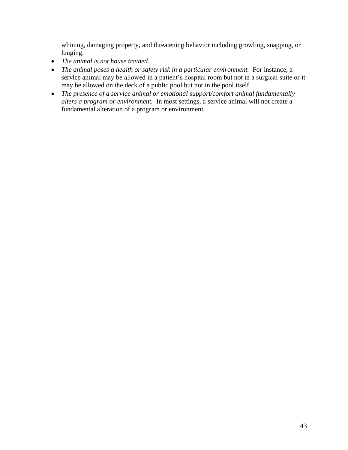whining, damaging property, and threatening behavior including growling, snapping, or lunging.

- *The animal is not house trained.*
- *The animal poses a health or safety risk in a particular environment.* For instance, a service animal may be allowed in a patient's hospital room but not in a surgical suite or it may be allowed on the deck of a public pool but not in the pool itself.
- *The presence of a service animal or emotional support/comfort animal fundamentally alters a program or environment.* In most settings, a service animal will not create a fundamental alteration of a program or environment.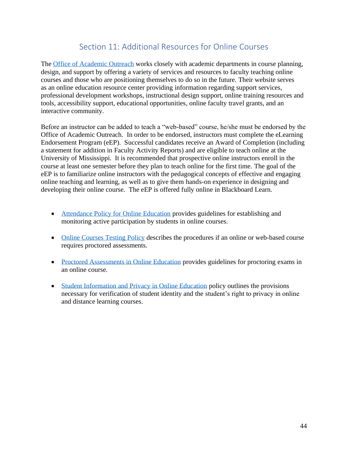## Section 11: Additional Resources for Online Courses

The [Office of Academic Outreach](http://elearning.olemiss.edu/) works closely with academic departments in course planning, design, and support by offering a variety of services and resources to faculty teaching online courses and those who are positioning themselves to do so in the future. Their website serves as an online education resource center providing information regarding support services, professional development workshops, instructional design support, online training resources and tools, accessibility support, educational opportunities, online faculty travel grants, and an interactive community.

Before an instructor can be added to teach a "web-based" course, he/she must be endorsed by the Office of Academic Outreach. In order to be endorsed, instructors must complete the eLearning Endorsement Program (eEP). Successful candidates receive an Award of Completion (including a statement for addition in Faculty Activity Reports) and are eligible to teach online at the University of Mississippi. It is recommended that prospective online instructors enroll in the course at least one semester before they plan to teach online for the first time. The goal of the eEP is to familiarize online instructors with the pedagogical concepts of effective and engaging online teaching and learning, as well as to give them hands-on experience in designing and developing their online course. The eEP is offered fully online in Blackboard Learn.

- [Attendance Policy for Online Education](https://policies.olemiss.edu/ShowDetails.jsp?istatPara=1&policyObjidPara=11873539) provides guidelines for establishing and monitoring active participation by students in online courses.
- [Online Courses Testing Policy](https://policies.olemiss.edu/ShowDetails.jsp?istatPara=1&policyObjidPara=11068099) describes the procedures if an online or web-based course requires proctored assessments.
- [Proctored Assessments in Online Education](https://policies.olemiss.edu/ShowDetails.jsp?istatPara=1&policyObjidPara=11873537) provides guidelines for proctoring exams in an online course.
- [Student Information and Privacy in Online Education](https://policies.olemiss.edu/ShowDetails.jsp?istatPara=1&policyObjidPara=11873531) policy outlines the provisions necessary for verification of student identity and the student's right to privacy in online and distance learning courses.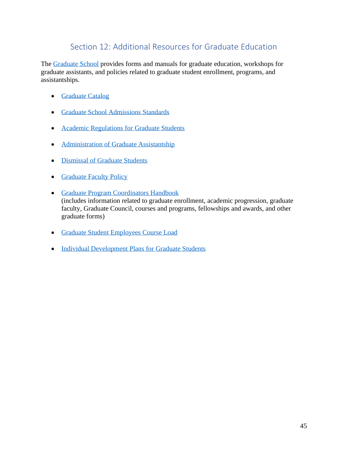## Section 12: Additional Resources for Graduate Education

The [Graduate School](https://gradschool.olemiss.edu/) provides forms and manuals for graduate education, workshops for graduate assistants, and policies related to graduate student enrollment, programs, and assistantships.

- [Graduate Catalog](http://catalog.olemiss.edu/graduate-school)
- [Graduate School Admissions Standards](https://policies.olemiss.edu/ShowDetails.jsp?istatPara=1&policyObjidPara=10648009)
- [Academic Regulations for Graduate Students](https://policies.olemiss.edu/ShowDetails.jsp?istatPara=1&policyObjidPara=10648440)
- [Administration of Graduate Assistantship](https://policies.olemiss.edu/ShowDetails.jsp?istatPara=1&policyObjidPara=10648727)
- [Dismissal of Graduate Students](https://policies.olemiss.edu/ShowDetails.jsp?istatPara=1&policyObjidPara=11142506)
- [Graduate Faculty Policy](https://policies.olemiss.edu/ShowDetails.jsp?istatPara=1&policyObjidPara=10649613)
- [Graduate Program Coordinators Handbook](https://gradschool.olemiss.edu/facultygpcs/graduate-program-coordinators-handbook/) (includes information related to graduate enrollment, academic progression, graduate faculty, Graduate Council, courses and programs, fellowships and awards, and other graduate forms)
- [Graduate Student Employees Course Load](https://policies.olemiss.edu/ShowDetails.jsp?istatPara=1&policyObjidPara=10648012)
- Individual Development [Plans for Graduate Students](https://policies.olemiss.edu/ShowDetails.jsp?istatPara=1&policyObjidPara=11916678)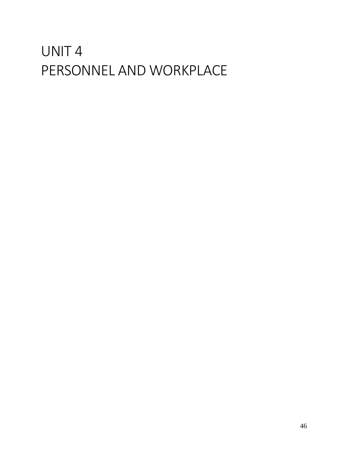# UNIT 4 PERSONNEL AND WORKPLACE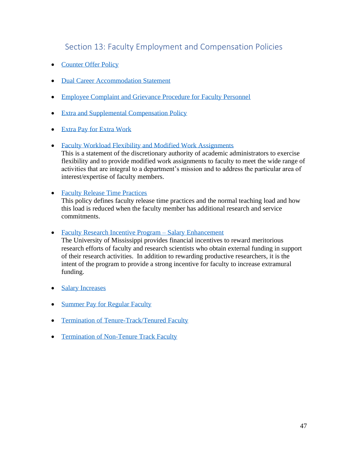## Section 13: Faculty Employment and Compensation Policies

- [Counter Offer Policy](https://policies.olemiss.edu/ShowDetails.jsp?istatPara=1&policyObjidPara=12317914)
- [Dual Career Accommodation Statement](https://policies.olemiss.edu/ShowDetails.jsp?istatPara=1&policyObjidPara=12209819)
- [Employee Complaint and Grievance Procedure for Faculty Personnel](https://policies.olemiss.edu/ShowDetails.jsp?istatPara=1&policyObjidPara=10647008)
- [Extra and Supplemental Compensation Policy](https://policies.olemiss.edu/ShowDetails.jsp?istatPara=1&policyObjidPara=10647020)
- [Extra Pay for Extra Work](https://policies.olemiss.edu/ShowDetails.jsp?istatPara=1&policyObjidPara=10649960)
- [Faculty Workload Flexibility and Modified Work Assignments](https://policies.olemiss.edu/ShowDetails.jsp?istatPara=1&policyObjidPara=12317916)

This is a statement of the discretionary authority of academic administrators to exercise flexibility and to provide modified work assignments to faculty to meet the wide range of activities that are integral to a department's mission and to address the particular area of interest/expertise of faculty members.

• [Faculty Release Time Practices](https://policies.olemiss.edu/ShowDetails.jsp?istatPara=1&policyObjidPara=11814009)

This policy defines faculty release time practices and the normal teaching load and how this load is reduced when the faculty member has additional research and service commitments.

• [Faculty Research Incentive Program –](http://sas.olemiss.edu/wp-content/uploads/2015/03/UMResearchEffortFinalApproved6_16_14.pdf) Salary Enhancement

The University of Mississippi provides financial incentives to reward meritorious research efforts of faculty and research scientists who obtain external funding in support of their research activities. In addition to rewarding productive researchers, it is the intent of the program to provide a strong incentive for faculty to increase extramural funding.

- [Salary Increases](https://policies.olemiss.edu/ShowDetails.jsp?istatPara=1&policyObjidPara=10659138)
- Summer [Pay for Regular Faculty](https://policies.olemiss.edu/ShowDetails.jsp?istatPara=1&policyObjidPara=11247212)
- [Termination of Tenure-Track/Tenured Faculty](https://policies.olemiss.edu/ShowHistory.jsp?policyObjidPara=10647010&istatPara=1)
- [Termination of Non-Tenure Track Faculty](https://policies.olemiss.edu/ShowDetails.jsp?istatPara=1&policyObjidPara=10646968)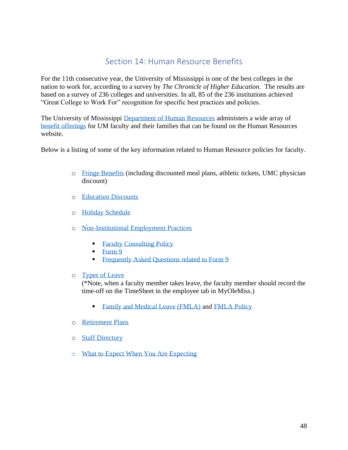## Section 14: Human Resource Benefits

For the 11th consecutive year, the University of Mississippi is one of the best colleges in the nation to work for, according to a survey by *The Chronicle of Higher Education*. The results are based on a survey of 236 colleges and universities. In all, 85 of the 236 institutions achieved "Great College to Work For" recognition for specific best practices and policies.

The University of Mississippi [Department of Human Resources](http://hr.olemiss.edu/) administers a wide array of [benefit offerings](http://hr.olemiss.edu/benefits/) for UM faculty and their families that can be found on the Human Resources website.

Below is a listing of some of the key information related to Human Resource policies for faculty.

- o [Fringe Benefits](http://hr.olemiss.edu/benefits/discounts/) (including discounted meal plans, athletic tickets, UMC physician discount)
- o [Education Discounts](https://hr.olemiss.edu/benefits/education-discounts/)
- o [Holiday Schedule](http://hr.olemiss.edu/payroll/holiday-schedule/)
- o [Non-Institutional Employment Practices](https://policies.olemiss.edu/ShowDetails.jsp?istatPara=1&policyObjidPara=10656209)
	- [Faculty Consulting Policy](https://policies.olemiss.edu/ShowDetails.jsp?istatPara=1&policyObjidPara=10647006)
	- $\blacksquare$  [Form 9](https://hr.olemiss.edu/wp-content/uploads/sites/93/Form9_2014.pdf)
	- **Example 1** [Frequently Asked Questions related to Form 9](https://hr.olemiss.edu/wp-content/uploads/sites/93/2016/05/Form9_FAQ_February2015.pdf)
- o [Types of Leave](http://hr.olemiss.edu/benefits/leave/)

(\*Note, when a faculty member takes leave, the faculty member should record the time-off on the TimeSheet in the employee tab in MyOleMiss.)

- [Family and Medical Leave \(FMLA\)](https://hr.olemiss.edu/family-and-medical-leave/) and [FMLA Policy](https://policies.olemiss.edu/ShowDetails.jsp?istatPara=1&policyObjidPara=10659158)
- o [Retirement Plans](http://hr.olemiss.edu/benefits/retirement/)
- o [Staff Directory](https://hr.olemiss.edu/staff-directory/)
- o [What to Expect When You Are Expecting](https://hr.olemiss.edu/expecting/)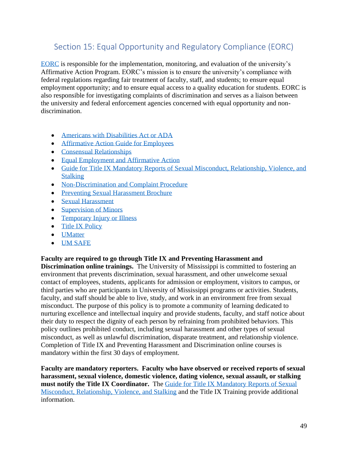## Section 15: Equal Opportunity and Regulatory Compliance (EORC)

[EORC](https://eorc.olemiss.edu/) is responsible for the implementation, monitoring, and evaluation of the university's Affirmative Action Program. EORC's mission is to ensure the university's compliance with federal regulations regarding fair treatment of faculty, staff, and students; to ensure equal employment opportunity; and to ensure equal access to a quality education for students. EORC is also responsible for investigating complaints of discrimination and serves as a liaison between the university and federal enforcement agencies concerned with equal opportunity and nondiscrimination.

- [Americans with Disabilities Act or ADA](https://policies.olemiss.edu/ShowDetails.jsp?istatPara=1&policyObjidPara=10868401)
- [Affirmative Action Guide for Employees](https://eorc.olemiss.edu/wp-content/uploads/sites/99/2019/08/Affirmative-Action-Guide-Brochure-For-Employees-1.pdf)
- [Consensual Relationships](https://policies.olemiss.edu/ShowDetails.jsp?istatPara=1&policyObjidPara=12265854)
- [Equal Employment and Affirmative Action](https://policies.olemiss.edu/ShowDetails.jsp?istatPara=1&policyObjidPara=10847871)
- [Guide for Title IX Mandatory Reports of Sexual Misconduct, Relationship, Violence, and](https://umsafe.olemiss.edu/sa-mandatory-reporters/)  **[Stalking](https://umsafe.olemiss.edu/sa-mandatory-reporters/)**
- [Non-Discrimination and Complaint Procedure](https://policies.olemiss.edu/ShowDetails.jsp?istatPara=1&policyObjidPara=10848182)
- [Preventing Sexual Harassment Brochure](https://eorc.olemiss.edu/wp-content/uploads/sites/99/2019/08/Preventing-Sexual-HarassmentBrochure-1.pdf)
- [Sexual Harassment](https://policies.olemiss.edu/ShowDetails.jsp?istatPara=1&policyObjidPara=10848189)
- [Supervision of Minors](https://policies.olemiss.edu/ShowDetails.jsp?istatPara=1&policyObjidPara=11619450)
- [Temporary Injury or Illness](https://policies.olemiss.edu/ShowDetails.jsp?istatPara=1&policyObjidPara=12317912)
- [Title IX](https://policies.olemiss.edu/ShowDetails.jsp?istatPara=1&policyObjidPara=12352730) Policy
- [UMatter](https://umatter.olemiss.edu/)
- [UM SAFE](https://umsafe.olemiss.edu/)

#### **Faculty are required to go through Title IX and Preventing Harassment and**

**Discrimination online trainings.** The University of Mississippi is committed to fostering an environment that prevents discrimination, sexual harassment, and other unwelcome sexual contact of employees, students, applicants for admission or employment, visitors to campus, or third parties who are participants in University of Mississippi programs or activities. Students, faculty, and staff should be able to live, study, and work in an environment free from sexual misconduct. The purpose of this policy is to promote a community of learning dedicated to nurturing excellence and intellectual inquiry and provide students, faculty, and staff notice about their duty to respect the dignity of each person by refraining from prohibited behaviors. This policy outlines prohibited conduct, including sexual harassment and other types of sexual misconduct, as well as unlawful discrimination, disparate treatment, and relationship violence. Completion of Title IX and Preventing Harassment and Discrimination online courses is mandatory within the first 30 days of employment.

**Faculty are mandatory reporters. Faculty who have observed or received reports of sexual harassment, sexual violence, domestic violence, dating violence, sexual assault, or stalking must notify the Title IX Coordinator.** The [Guide for Title IX Mandatory Reports of Sexual](https://umsafe.olemiss.edu/sa-mandatory-reporters/)  [Misconduct, Relationship, Violence, and Stalking](https://umsafe.olemiss.edu/sa-mandatory-reporters/) and the Title IX Training provide additional information.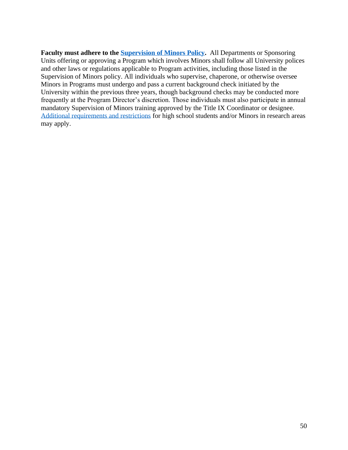Faculty must adhere to the **Supervision of Minors Policy.** All Departments or Sponsoring Units offering or approving a Program which involves Minors shall follow all University polices and other laws or regulations applicable to Program activities, including those listed in the Supervision of Minors policy. All individuals who supervise, chaperone, or otherwise oversee Minors in Programs must undergo and pass a current background check initiated by the University within the previous three years, though background checks may be conducted more frequently at the Program Director's discretion. Those individuals must also participate in annual mandatory Supervision of Minors training approved by the Title IX Coordinator or designee. [Additional requirements and restrictions](https://research.olemiss.edu/resources/students) for high school students and/or Minors in research areas may apply.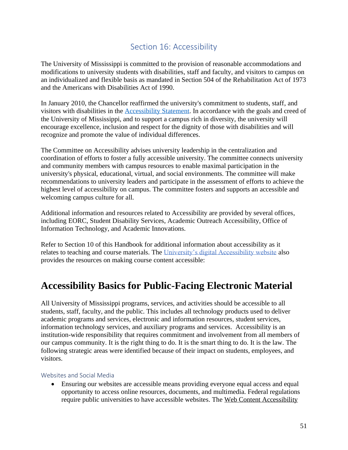## Section 16: Accessibility

The University of Mississippi is committed to the provision of reasonable accommodations and modifications to university [students with disabilities,](https://olemiss.edu/info/access.html#students) [staff and faculty,](https://olemiss.edu/info/access.html#facstaff) and [visitors to campus](https://olemiss.edu/info/access.html#visitors) on an individualized and flexible basis as mandated in Section 504 of the Rehabilitation Act of 1973 and the Americans with Disabilities Act of 1990.

In January 2010, the Chancellor reaffirmed the university's commitment to students, staff, and visitors with disabilities in the [Accessibility Statement.](https://olemiss.edu/info/access.html) In accordance with the goals and creed of the University of Mississippi, and to support a campus rich in diversity, the university will encourage excellence, inclusion and respect for the dignity of those with disabilities and will recognize and promote the value of individual differences.

The Committee on Accessibility advises university leadership in the centralization and coordination of efforts to foster a fully accessible university. The committee connects university and community members with campus resources to enable maximal participation in the university's physical, educational, virtual, and social environments. The committee will make recommendations to university leaders and participate in the assessment of efforts to achieve the highest level of accessibility on campus. The committee fosters and supports an accessible and welcoming campus culture for all.

Additional information and resources related to Accessibility are provided by several offices, including EORC, Student Disability Services, Academic Outreach Accessibility, Office of Information Technology, and Academic Innovations.

Refer to Section 10 of this Handbook for additional information about accessibility as it relates to teaching and course materials. The [University's digital Accessibility website](http://accessibility.olemiss.edu/) also provides the resources on making course content accessible:

# **Accessibility Basics for Public-Facing Electronic Material**

All University of Mississippi programs, services, and activities should be accessible to all students, staff, faculty, and the public. This includes all technology products used to deliver academic programs and services, electronic and information resources, student services, information technology services, and auxiliary programs and services. Accessibility is an institution-wide responsibility that requires commitment and involvement from all members of our campus community. It is the right thing to do. It is the smart thing to do. It is the law. The following strategic areas were identified because of their impact on students, employees, and visitors.

#### Websites and Social Media

• Ensuring our websites are accessible means providing everyone equal access and equal opportunity to access online resources, documents, and multimedia. Federal regulations require public universities to have accessible websites. The [Web Content Accessibility](https://www.w3.org/TR/WCAG20/)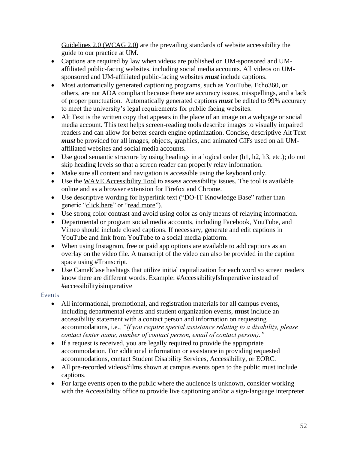[Guidelines 2.0 \(WCAG 2.0\)](https://www.w3.org/TR/WCAG20/) are the prevailing standards of website accessibility the guide to our practice at UM.

- Captions are required by law when videos are published on UM-sponsored and UMaffiliated public-facing websites, including social media accounts. All videos on UMsponsored and UM-affiliated public-facing websites *must* include captions.
- Most automatically generated captioning programs, such as YouTube, Echo360, or others, are not ADA compliant because there are accuracy issues, misspellings, and a lack of proper punctuation. Automatically generated captions *must* be edited to 99% accuracy to meet the university's legal requirements for public facing websites.
- Alt Text is the written copy that appears in the place of an image on a webpage or social media account. This text helps screen-reading tools describe images to visually impaired readers and can allow for better search engine optimization. Concise, descriptive Alt Text *must* be provided for all images, objects, graphics, and animated GIFs used on all UMaffiliated websites and social media accounts.
- Use good semantic structure by using headings in a logical order (h1, h2, h3, etc.); do not skip heading levels so that a screen reader can properly relay information.
- Make sure all content and navigation is accessible using the keyboard only.
- Use the [WAVE Accessibility Tool](https://wave.webaim.org/) to assess accessibility issues. The tool is available online and as a browser extension for Firefox and Chrome.
- Use descriptive wording for hyperlink text ("DO-IT Knowledge Base" rather than generic "click here" or "read more").
- Use strong color contrast and avoid using color as only means of relaying information.
- Departmental or program social media accounts, including Facebook, YouTube, and Vimeo should include closed captions. If necessary, generate and edit captions in YouTube and link from YouTube to a social media platform.
- When using Instagram, free or paid app options are available to add captions as an overlay on the video file. A transcript of the video can also be provided in the caption space using #Transcript.
- Use CamelCase hashtags that utilize initial capitalization for each word so screen readers know there are different words. Example: #AccessibilityIsImperative instead of #accessibilityisimperative

#### Events

- All informational, promotional, and registration materials for all campus events, including departmental events and student organization events, **must** include an accessibility statement with a contact person and information on requesting accommodations, i.e., *"If you require special assistance relating to a disability, please contact (enter name, number of contact person, email of contact person)."*
- If a request is received, you are legally required to provide the appropriate accommodation. For additional information or assistance in providing requested accommodations, contact Student Disability Services, Accessibility, or EORC.
- All pre-recorded videos/films shown at campus events open to the public must include captions.
- For large events open to the public where the audience is unknown, consider working with the Accessibility office to provide live captioning and/or a sign-language interpreter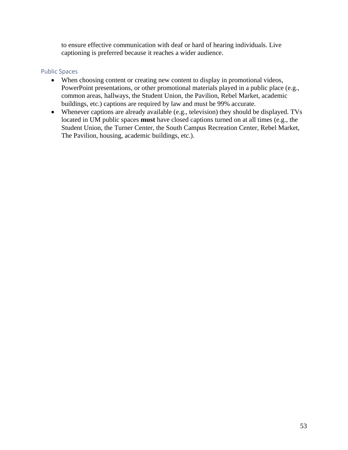to ensure effective communication with deaf or hard of hearing individuals. Live captioning is preferred because it reaches a wider audience.

#### Public Spaces

- When choosing content or creating new content to display in promotional videos, PowerPoint presentations, or other promotional materials played in a public place (e.g., common areas, hallways, the Student Union, the Pavilion, Rebel Market, academic buildings, etc.) captions are required by law and must be 99% accurate.
- Whenever captions are already available (e.g., television) they should be displayed. TVs located in UM public spaces **must** have closed captions turned on at all times (e.g., the Student Union, the Turner Center, the South Campus Recreation Center, Rebel Market, The Pavilion, housing, academic buildings, etc.).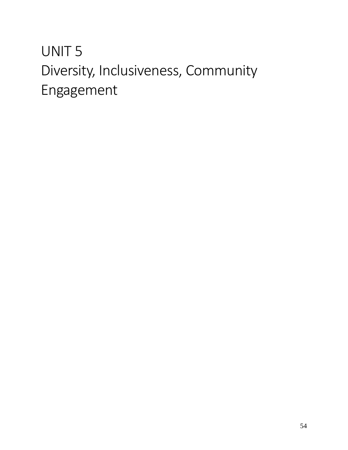# UNIT 5 Diversity, Inclusiveness, Community Engagement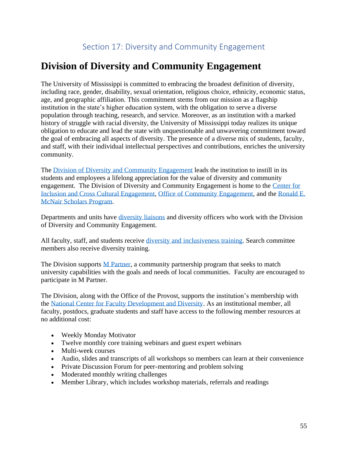# **Division of Diversity and Community Engagement**

The University of Mississippi is committed to embracing the broadest definition of diversity, including race, gender, disability, sexual orientation, religious choice, ethnicity, economic status, age, and geographic affiliation. This commitment stems from our mission as a flagship institution in the state's higher education system, with the obligation to serve a diverse population through teaching, research, and service. Moreover, as an institution with a marked history of struggle with racial diversity, the University of Mississippi today realizes its unique obligation to educate and lead the state with unquestionable and unwavering commitment toward the goal of embracing all aspects of diversity. The presence of a diverse mix of students, faculty, and staff, with their individual intellectual perspectives and contributions, enriches the university community.

The [Division of Diversity and Community Engagement](https://diversity.olemiss.edu/) leads the institution to instill in its students and employees a lifelong appreciation for the value of diversity and community engagement. The Division of Diversity and Community Engagement is home to the [Center for](https://inclusion.olemiss.edu/)  [Inclusion and Cross Cultural Engagement,](https://inclusion.olemiss.edu/) [Office of Community Engagement,](https://diversity.olemiss.edu/community-engagement-at-the-university-of-mississippi/) and the [Ronald E.](https://olemiss.edu/programs/McNair/index.html)  [McNair Scholars Program.](https://olemiss.edu/programs/McNair/index.html)

Departments and units have [diversity liaisons](https://diversity.olemiss.edu/diversity-liaisons/) and diversity officers who work with the Division of Diversity and Community Engagement.

All faculty, staff, and students receive [diversity and inclusiveness training.](http://diversity.olemiss.edu/education/) Search committee members also receive diversity training.

The Division supports **M** Partner, a community partnership program that seeks to match university capabilities with the goals and needs of local communities. Faculty are encouraged to participate in M Partner.

The Division, along with the Office of the Provost, supports the institution's membership with the [National Center for Faculty Development and Diversity.](https://www.facultydiversity.org/) As an institutional member, all faculty, postdocs, graduate students and staff have access to the following member resources at no additional cost:

- Weekly [Monday Motivator](http://www.facultydiversity.org/?page=MondayMotivator)
- Twelve monthly [core training webinars](http://www.facultydiversity.org/?page=CoreCurriculum) and guest expert webinars
- [Multi-week courses](http://www.facultydiversity.org/?page=FacilitatedLearning)
- Audio, slides and transcripts of all workshops so members can learn at their convenience
- Private [Discussion Forum](http://www.facultydiversity.org/forums/Default.aspx) for peer-mentoring and problem solving
- Moderated monthly writing challenges
- [Member Library,](https://www.facultydiversity.org/library) which includes workshop materials, referrals and readings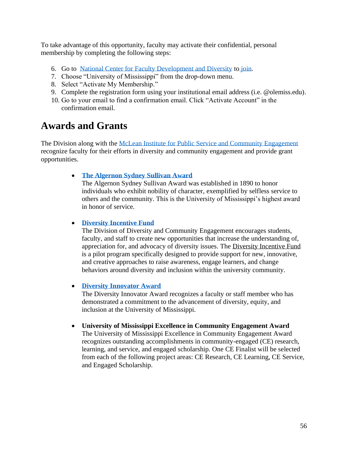To take advantage of this opportunity, faculty may activate their confidential, personal membership by completing the following steps:

- 6. Go to [National Center for Faculty Development and Diversity](https://www.facultydiversity.org/) to [join.](https://www.facultydiversity.org/Join)
- 7. Choose "University of Mississippi" from the drop-down menu.
- 8. Select "Activate My Membership."
- 9. Complete the registration form using your institutional email address (i.e. @olemiss.edu).
- 10. Go to your email to find a confirmation email. Click "Activate Account" in the confirmation email.

## **Awards and Grants**

The Division along with the [McLean Institute for Public Service and Community Engagement](https://mclean.olemiss.edu/) recognize faculty for their efforts in diversity and community engagement and provide grant opportunities.

#### • **[The Algernon Sydney Sullivan Award](https://mclean.olemiss.edu/sullivan/)**

The Algernon Sydney Sullivan Award was established in 1890 to honor individuals who exhibit nobility of character, exemplified by selfless service to others and the community. This is the University of Mississippi's highest award in honor of service.

#### • **[Diversity Incentive Fund](http://diversity.olemiss.edu/files/2019/08/DiversityIncentiveFund2019-3.pdf)**

The Division of Diversity and Community Engagement encourages students, faculty, and staff to create new opportunities that increase the understanding of, appreciation for, and advocacy of diversity issues. The Diversity Incentive Fund is a pilot program specifically designed to provide support for new, innovative, and creative approaches to raise awareness, engage learners, and change behaviors around diversity and inclusion within the university community.

#### • **[Diversity Innovator Award](http://diversity.olemiss.edu/diversityinnovatoraward/)**

The Diversity Innovator Award recognizes a faculty or staff member who has demonstrated a commitment to the advancement of diversity, equity, and inclusion at the University of Mississippi.

#### • **[University of Mississippi Excellence in Community Engagement Award](https://mclean.olemiss.edu/excellence-in-community-engagement-awards/)**

The [University of Mississippi Excellence in Community Engagement Award](https://uofmississippi.qualtrics.com/jfe/form/SV_0xnVppp5kmcZMe9) recognizes outstanding accomplishments in community-engaged (CE) research, learning, and service, and engaged scholarship. One CE Finalist will be selected from each of the following project areas: CE Research, CE Learning, CE Service, and Engaged Scholarship.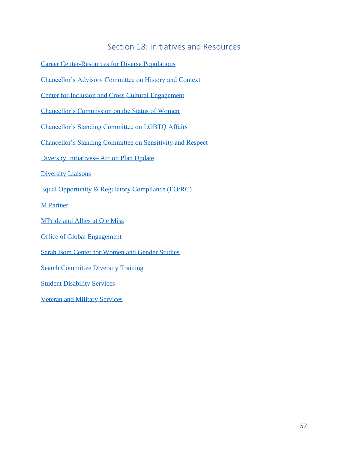#### Section 18: Initiatives and Resources

[Career Center-Resources for Diverse Populations](http://career.olemiss.edu/diverse-populations/)

[Chancellor's Advisory Committee on History and Context](https://context.olemiss.edu/)

[Center for Inclusion and Cross Cultural Engagement](https://inclusion.olemiss.edu/)

[Chancellor's Commission on the Status of Women](http://ccsw.olemiss.edu/)

[Chancellor's Standing Committee on LGBTQ Affairs](https://olemiss.edu/aboutum/standingcommittees/commdetail.php?id=11950816&n=LGBTQ%20Affairs)

[Chancellor's Standing Committee on Sensitivity and Respect](https://olemiss.edu/aboutum/standingcommittees/commdetail.php?id=10858684&n=Sensitivity%20and%20Respect)

[Diversity Initiatives–](https://diversity.olemiss.edu/action-plan-update/) Action Plan Update

[Diversity Liaisons](http://diversity.olemiss.edu/diversity-liaisons/)

[Equal Opportunity & Regulatory Compliance \(EO/RC\)](https://eorc.olemiss.edu/)

[M Partner](https://mpartner.olemiss.edu/)

[MPride and Allies at Ole Miss](https://mpride.olemiss.edu/)

[Office of Global Engagement](https://oge.olemiss.edu/)

[Sarah Isom Center for Women and Gender Studies](https://sarahisomcenter.org/)

[Search Committee Diversity Training](https://diversity.olemiss.edu/search-committee-resources/)

[Student Disability Services](https://sds.olemiss.edu/)

[Veteran and Military Services](https://vms.olemiss.edu/student-veteran-organization/)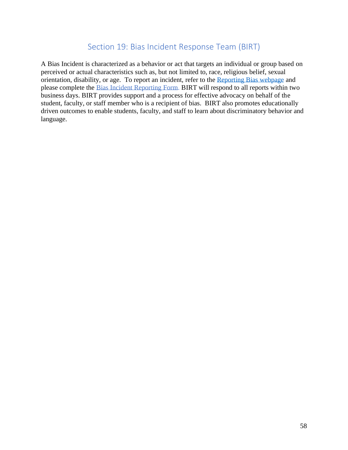#### Section 19: Bias Incident Response Team (BIRT)

A Bias Incident is characterized as a behavior or act that targets an individual or group based on perceived or actual characteristics such as, but not limited to, race, religious belief, sexual orientation, disability, or age. To report an incident, refer to the [Reporting Bias webpage](http://birt.olemiss.edu/reporting-bias/) and please complete the Bias Incident [Reporting Form.](https://publicdocs.maxient.com/reportingform.php?UnivofMississippi&layout_id=5) BIRT will respond to all reports within two business days. BIRT provides support and a process for effective advocacy on behalf of the student, faculty, or staff member who is a recipient of bias. BIRT also promotes educationally driven outcomes to enable students, faculty, and staff to learn about discriminatory behavior and language.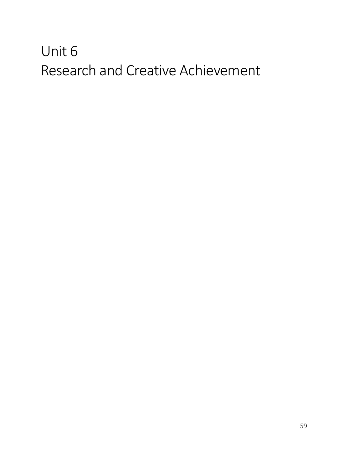# Unit 6 Research and Creative Achievement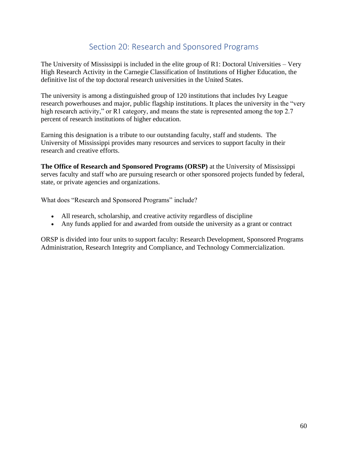## Section 20: Research and Sponsored Programs

The [University of Mississippi](https://olemiss.edu/) is included in the elite group of R1: Doctoral Universities – Very High Research Activity in the [Carnegie Classification of Institutions of Higher Education,](http://carnegieclassifications.iu.edu/) the definitive list of the top doctoral research universities in the United States.

The university is among a distinguished group of 120 institutions that includes Ivy League research powerhouses and major, public flagship institutions. It places the university in the "very high research activity," or R1 category, and means the state is represented among the top 2.7 percent of research institutions of higher education.

Earning this designation is a tribute to our outstanding faculty, staff and students. The University of Mississippi provides many resources and services to support faculty in their research and creative efforts.

**The Office of Research and Sponsored Programs (ORSP)** at the University of Mississippi serves faculty and staff who are pursuing research or other sponsored projects funded by federal, state, or private agencies and organizations.

What does "Research and Sponsored Programs" include?

- All research, scholarship, and creative activity regardless of discipline
- Any funds applied for and awarded from outside the university as a grant or contract

ORSP is divided into four units to support faculty: Research Development, Sponsored Programs Administration, Research Integrity and Compliance, and Technology Commercialization.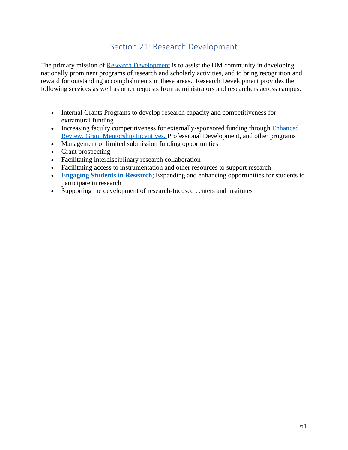## Section 21: Research Development

The primary mission of [Research Development](http://research.olemiss.edu/resources) is to assist the UM community in developing nationally prominent programs of research and scholarly activities, and to bring recognition and reward for outstanding accomplishments in these areas. Research Development provides the following services as well as other requests from administrators and researchers across campus.

- Internal Grants Programs to develop research capacity and competitiveness for extramural funding
- Increasing faculty competitiveness for externally-sponsored funding through Enhanced Review, [Grant Mentorship Incentives,](http://research.olemiss.edu/GrantMentors) Professional Development, and other programs
- Management of limited submission funding opportunities
- Grant prospecting
- Facilitating interdisciplinary research collaboration
- Facilitating access to instrumentation and other resources to support research
- **[Engaging Students in Research](http://research.olemiss.edu/resources/students)**; Expanding and enhancing opportunities for students to participate in research
- Supporting the development of research-focused centers and institutes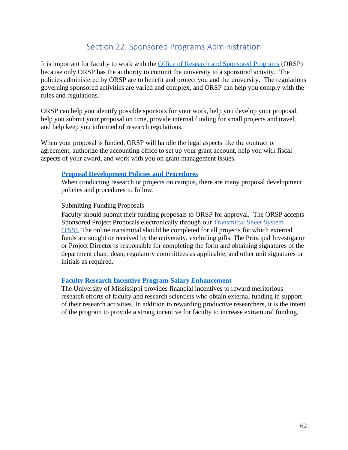### Section 22: Sponsored Programs Administration

It is important for faculty to work with the [Office of Research and Sponsored Programs](http://research.olemiss.edu/spa) (ORSP) because only ORSP has the authority to commit the university to a sponsored activity. The policies administered by ORSP are to benefit and protect you and the university. The regulations governing sponsored activities are varied and complex, and ORSP can help you comply with the rules and regulations.

ORSP can help you identify possible sponsors for your work, help you develop your proposal, help you submit your proposal on time, provide internal funding for small projects and travel, and help keep you informed of research regulations.

When your proposal is funded, ORSP will handle the legal aspects like the contract or agreement, authorize the accounting office to set up your grant account, help you with fiscal aspects of your award, and work with you on grant management issues.

#### **[Proposal Development Policies and Procedures](http://research.olemiss.edu/proposal-development/policies)**

When conducting research or projects on campus, there are many proposal development policies and procedures to follow.

#### Submitting Funding Proposals

Faculty should submit their funding proposals to ORSP for approval. The ORSP accepts Sponsored Project Proposals electronically through our [Transmittal Sheet System](http://research.olemiss.edu/GrahamCrackerTSS)  [\(TSS\).](http://research.olemiss.edu/GrahamCrackerTSS) The online transmittal should be completed for all projects for which external funds are sought or received by the university, excluding gifts. The Principal Investigator or Project Director is responsible for completing the form and obtaining signatures of the department chair, dean, regulatory committees as applicable, and other unit signatures or initials as required.

#### **[Faculty Research Incentive Program-Salary Enhancement](https://sas.olemiss.edu/wp-content/uploads/2015/03/UMResearchEffortFinalApproved6_16_14.pdf)**

The University of Mississippi provides financial incentives to reward meritorious research efforts of faculty and research scientists who obtain external funding in support of their research activities. In addition to rewarding productive researchers, it is the intent of the program to provide a strong incentive for faculty to increase extramural funding.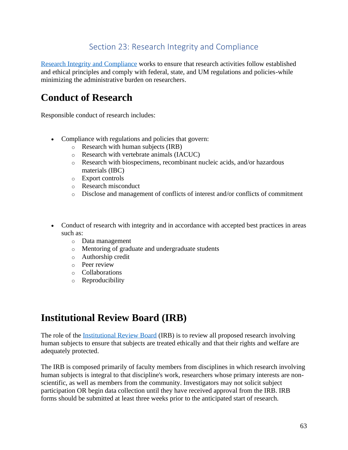## Section 23: Research Integrity and Compliance

[Research Integrity and Compliance](https://research.olemiss.edu/compliance) works to ensure that research activities follow established and ethical principles and comply with federal, state, and UM regulations and policies-while minimizing the administrative burden on researchers.

# **Conduct of Research**

Responsible conduct of research includes:

- Compliance with regulations and policies that govern:
	- o Research with human subjects (IRB)
	- o Research with vertebrate animals (IACUC)
	- o Research with biospecimens, recombinant nucleic acids, and/or hazardous materials (IBC)
	- o Export controls
	- o Research misconduct
	- o Disclose and management of conflicts of interest and/or conflicts of commitment
- Conduct of research with integrity and in accordance with accepted best practices in areas such as:
	- o Data management
	- o Mentoring of graduate and undergraduate students
	- o Authorship credit
	- o Peer review
	- o Collaborations
	- o Reproducibility

# **Institutional Review Board (IRB)**

The role of the [Institutional Review Board](http://research.olemiss.edu/irb) (IRB) is to review all proposed research involving human subjects to ensure that subjects are treated ethically and that their rights and welfare are adequately protected.

The IRB is composed primarily of faculty members from disciplines in which research involving human subjects is integral to that discipline's work, researchers whose primary interests are nonscientific, as well as members from the community. Investigators may not solicit subject participation OR begin data collection until they have received approval from the IRB. IRB forms should be submitted at least three weeks prior to the anticipated start of research*.*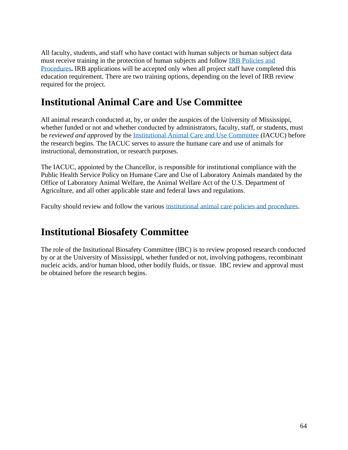All faculty, students, and staff who have contact with human subjects or human subject data must receive training in the protection of human subjects and follow [IRB Policies and](http://research.olemiss.edu/irb/guidance)  [Procedures](http://research.olemiss.edu/irb/guidance)**.** IRB applications will be accepted only when all project staff have completed this education requirement. There are two training options, depending on the level of IRB review required for the project.

# **Institutional Animal Care and Use Committee**

All animal research conducted at, by, or under the auspices of the University of Mississippi, whether funded or not and whether conducted by administrators, faculty, staff, or students, must be *reviewed and approved* by the [Institutional Animal Care and Use Committee](http://research.olemiss.edu/iacuc) (IACUC) before the research begins. The IACUC serves to assure the humane care and use of animals for instructional, demonstration, or research purposes.

The IACUC, appointed by the Chancellor, is responsible for institutional compliance with the Public Health Service Policy on Humane Care and Use of Laboratory Animals mandated by the Office of Laboratory Animal Welfare, the Animal Welfare Act of the U.S. Department of Agriculture, and all other applicable state and federal laws and regulations.

Faculty should review and follow the various [institutional animal care policies and procedures.](http://research.olemiss.edu/iacuc/policies)

# **Institutional Biosafety Committee**

The role of the Insitutional Biosafety Committee (IBC) is to review proposed research conducted by or at the University of Mississippi, whether funded or not, involving pathogens, recombinant nucleic acids, and/or human blood, other bodily fluids, or tissue. IBC review and approval must be obtained before the research begins.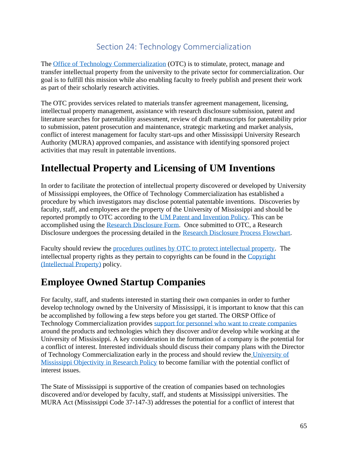## Section 24: Technology Commercialization

The [Office of Technology Commercialization](https://otc.olemiss.edu/) (OTC) is to stimulate, protect, manage and transfer intellectual property from the university to the private sector for commercialization. Our goal is to fulfill this mission while also enabling faculty to freely publish and present their work as part of their scholarly research activities.

The OTC provides services related to materials transfer agreement management, licensing, intellectual property management, assistance with research disclosure submission, patent and literature searches for patentability assessment, review of draft manuscripts for patentability prior to submission, patent prosecution and maintenance, strategic marketing and market analysis, conflict of interest management for faculty start-ups and other Mississippi University Research Authority (MURA) approved companies, and assistance with identifying sponsored project activities that may result in patentable inventions.

# **Intellectual Property and Licensing of UM Inventions**

In order to facilitate the protection of intellectual property discovered or developed by University of Mississippi employees, the Office of Technology Commercialization has established a procedure by which investigators may disclose potential patentable inventions. Discoveries by faculty, staff, and employees are the property of the University of Mississippi and should be reported promptly to OTC according to the [UM Patent and Invention Policy.](https://policies.olemiss.edu/ShowDetails.jsp?istatPara=1&policyObjidPara=11067049) This can be accomplished using the [Research Disclosure Form.](https://dtm.wp2.olemiss.edu/wp-content/uploads/sites/229/2016/10/Research-Disclosure-Request-Form_1.docx) Once submitted to OTC, a Research Disclosure undergoes the processing detailed in the [Research Disclosure Process Flowchart.](https://dtm.wp2.olemiss.edu/wp-content/uploads/sites/229/2016/10/ResearchDisclosure_Process_Flowchart.pdf)

Faculty should review the [procedures outlines by OTC to protect intellectual property.](https://otc.olemiss.edu/procedures/) The intellectual property rights as they pertain to copyrights can be found in the [Copyright](https://policies.olemiss.edu/ShowDetails.jsp?istatPara=1&policyObjidPara=10648215)  [\(Intellectual Property\)](https://policies.olemiss.edu/ShowDetails.jsp?istatPara=1&policyObjidPara=10648215) policy.

# **Employee Owned Startup Companies**

For faculty, staff, and students interested in starting their own companies in order to further develop technology owned by the University of Mississippi, it is important to know that this can be accomplished by following a few steps before you get started. The ORSP Office of Technology Commercialization provides [support for personnel who want to create companies](https://otc.olemiss.edu/entrepreneurs/) around the products and technologies which they discover and/or develop while working at the University of Mississippi. A key consideration in the formation of a company is the potential for a conflict of interest. Interested individuals should discuss their company plans with the Director of Technology Commercialization early in the process and should review the [University of](https://policies.olemiss.edu/ShowDetails.jsp?istatPara=1&policyObjidPara=10874766)  [Mississippi Objectivity in Research Policy](https://policies.olemiss.edu/ShowDetails.jsp?istatPara=1&policyObjidPara=10874766) to become familiar with the potential conflict of interest issues.

The State of Mississippi is supportive of the creation of companies based on technologies discovered and/or developed by faculty, staff, and students at Mississippi universities. The MURA Act (Mississippi Code 37-147-3) addresses the potential for a conflict of interest that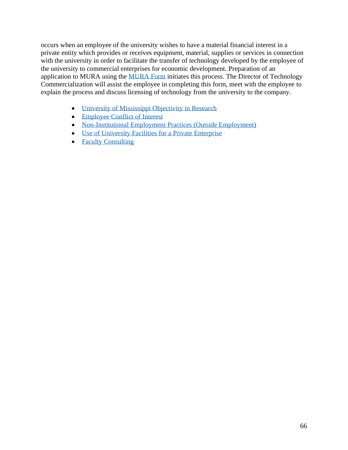occurs when an employee of the university wishes to have a material financial interest in a private entity which provides or receives equipment, material, supplies or services in connection with the university in order to facilitate the transfer of technology developed by the employee of the university to commercial enterprises for economic development. Preparation of an application to MURA using the [MURA Form](https://dtm.wp2.olemiss.edu/wp-content/uploads/sites/229/2016/10/MURA_Form.pdf) initiates this process. The Director of Technology Commercialization will assist the employee in completing this form, meet with the employee to explain the process and discuss licensing of technology from the university to the company.

- [University of Mississippi Objectivity in Research](https://policies.olemiss.edu/ShowDetails.jsp?istatPara=1&policyObjidPara=10874766)
- [Employee Conflict of Interest](https://policies.olemiss.edu/ShowDetails.jsp?istatPara=1&policyObjidPara=10656208)
- [Non-Institutional Employment Practices \(Outside Employment\)](https://policies.olemiss.edu/ShowDetails.jsp?istatPara=1&policyObjidPara=10656209)
- [Use of University Facilities for a Private Enterprise](https://policies.olemiss.edu/ShowDetails.jsp?istatPara=1&policyObjidPara=10657939)
- Faculty [Consulting](https://policies.olemiss.edu/ShowDetails.jsp?istatPara=1&policyObjidPara=10647006)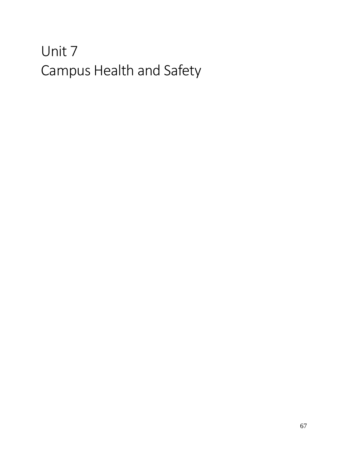# Unit 7 Campus Health and Safety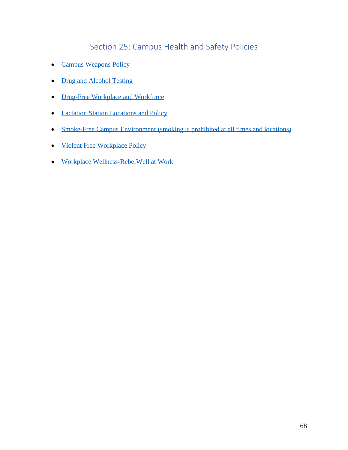## Section 25: Campus Health and Safety Policies

- [Campus Weapons Policy](https://policies.olemiss.edu/ShowDetails.jsp?istatPara=1&policyObjidPara=12092519)
- [Drug and Alcohol Testing](https://policies.olemiss.edu/ShowDetails.jsp?istatPara=1&policyObjidPara=10647565)
- [Drug-Free Workplace and Workforce](https://policies.olemiss.edu/ShowDetails.jsp?istatPara=1&policyObjidPara=10647941)
- [Lactation Station Locations and Policy](http://hr.olemiss.edu/nursing-mom/)
- Smoke-Free Campus Environment [\(smoking is prohibited at all times and locations\)](https://policies.olemiss.edu/ShowDetails.jsp?istatPara=1&policyObjidPara=12394863)
- [Violent Free Workplace Policy](https://policies.olemiss.edu/ShowDetails.jsp?istatPara=1&policyObjidPara=12170675)
- [Workplace Wellness-RebelWell at Work](http://rwwork.olemiss.edu/)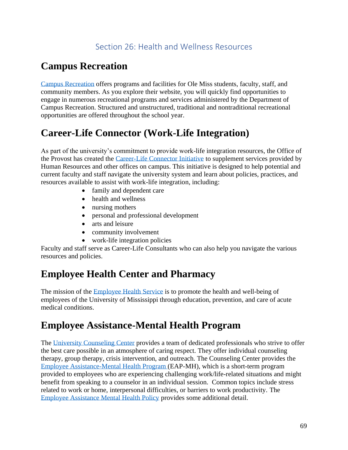# **Campus Recreation**

[Campus Recreation](https://campusrec.olemiss.edu/) offers programs and facilities for Ole Miss students, faculty, staff, and community members. As you explore their website, you will quickly find opportunities to engage in numerous recreational programs and services administered by the Department of Campus Recreation. Structured and unstructured, traditional and nontraditional recreational opportunities are offered throughout the school year.

# **Career-Life Connector (Work-Life Integration)**

As part of the university's commitment to provide work-life integration resources, the Office of the Provost has created the [Career-Life Connector Initiative](http://careerlife.olemiss.edu/) to supplement services provided by Human Resources and other offices on campus. This initiative is designed to help potential and current faculty and staff navigate the university system and learn about policies, practices, and resources available to assist with work-life integration, including:

- family and dependent care
- health and wellness
- nursing mothers
- personal and professional development
- arts and leisure
- community involvement
- work-life integration policies

Faculty and staff serve as Career-Life Consultants who can also help you navigate the various resources and policies.

## **Employee Health Center and Pharmacy**

The mission of the Employee [Health Service](https://healthcenter.olemiss.edu/employee-health-center/) is to promote the health and well-being of employees of the University of Mississippi through education, prevention, and care of acute medical conditions.

# **Employee Assistance-Mental Health Program**

The [University Counseling Center](https://counseling.olemiss.edu/services/) provides a team of dedicated professionals who strive to offer the best care possible in an atmosphere of caring respect. They offer individual counseling therapy, group therapy, crisis intervention, and outreach. The Counseling Center provides the [Employee Assistance-Mental Health Program](https://counseling.olemiss.edu/employee-assistance/) (EAP-MH), which is a short-term program provided to employees who are experiencing challenging work/life-related situations and might benefit from speaking to a counselor in an individual session. Common topics include stress related to work or home, interpersonal difficulties, or barriers to work productivity. The [Employee Assistance Mental Health Policy](https://policies.olemiss.edu/ShowDetails.jsp?istatPara=1&policyObjidPara=10662000) provides some additional detail.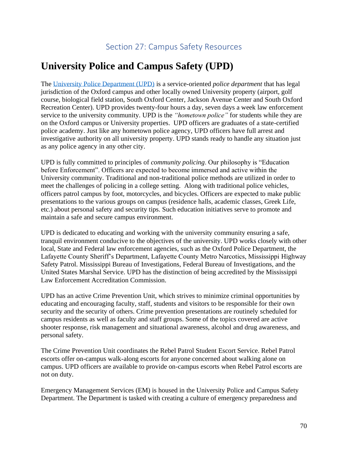# **University Police and Campus Safety (UPD)**

The [University Police Department \(UPD\)](https://upd.olemiss.edu/) is a service-oriented *police department* that has legal jurisdiction of the Oxford campus and other locally owned University property (airport, golf course, biological field station, South Oxford Center, Jackson Avenue Center and South Oxford Recreation Center). UPD provides twenty-four hours a day, seven days a week law enforcement service to the university community. UPD is the *"hometown police"* for students while they are on the Oxford campus or University properties. UPD officers are graduates of a state-certified police academy. Just like any hometown police agency, UPD officers have full arrest and investigative authority on all university property. UPD stands ready to handle any situation just as any police agency in any other city.

UPD is fully committed to principles of *community policing*. Our philosophy is "Education before Enforcement". Officers are expected to become immersed and active within the University community. Traditional and non-traditional police methods are utilized in order to meet the challenges of policing in a college setting. Along with traditional police vehicles, officers patrol campus by foot, motorcycles, and bicycles. Officers are expected to make public presentations to the various groups on campus (residence halls, academic classes, Greek Life, etc.) about personal safety and security tips. Such education initiatives serve to promote and maintain a safe and secure campus environment.

UPD is dedicated to educating and working with the university community ensuring a safe, tranquil environment conducive to the objectives of the university. UPD works closely with other local, State and Federal law enforcement agencies, such as the Oxford Police Department, the Lafayette County Sheriff's Department, Lafayette County Metro Narcotics, Mississippi Highway Safety Patrol. Mississippi Bureau of Investigations, Federal Bureau of Investigations, and the United States Marshal Service. UPD has the distinction of being accredited by the Mississippi Law Enforcement Accreditation Commission.

UPD has an active Crime Prevention Unit, which strives to minimize criminal opportunities by educating and encouraging faculty, staff, students and visitors to be responsible for their own security and the security of others. Crime prevention presentations are routinely scheduled for campus residents as well as faculty and staff groups. Some of the topics covered are active shooter response, risk management and situational awareness, alcohol and drug awareness, and personal safety.

The Crime Prevention Unit coordinates the Rebel Patrol Student Escort Service. Rebel Patrol escorts offer on-campus walk-along escorts for anyone concerned about walking alone on campus. UPD officers are available to provide on-campus escorts when Rebel Patrol escorts are not on duty.

Emergency Management Services (EM) is housed in the University Police and Campus Safety Department. The Department is tasked with creating a culture of emergency preparedness and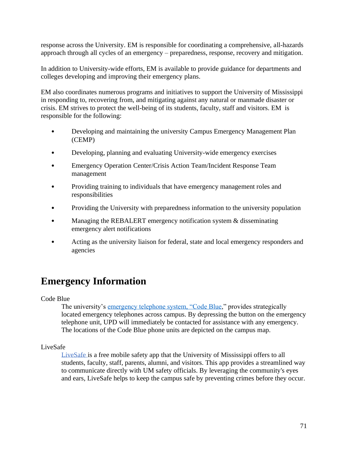response across the University. EM is responsible for coordinating a comprehensive, all-hazards approach through all cycles of an emergency – preparedness, response, recovery and mitigation.

In addition to University-wide efforts, EM is available to provide guidance for departments and colleges developing and improving their emergency plans.

EM also coordinates numerous programs and initiatives to support the University of Mississippi in responding to, recovering from, and mitigating against any natural or manmade disaster or crisis. EM strives to protect the well-being of its students, faculty, staff and visitors. EM is responsible for the following:

- Developing and maintaining the university Campus Emergency Management Plan (CEMP)
- Developing, planning and evaluating University-wide emergency exercises
- Emergency Operation Center/Crisis Action Team/Incident Response Team management
- Providing training to individuals that have emergency management roles and responsibilities
- Providing the University with preparedness information to the university population
- Managing the REBALERT emergency notification system & disseminating emergency alert notifications
- Acting as the university liaison for federal, state and local emergency responders and agencies

# **Emergency Information**

Code Blue

The university's [emergency telephone system, "Code Blue,](http://myatlascms.com/map/?id=562#!ct/6055?mc/34.36589877970246,-89.53443318650818?z/17)" provides strategically located emergency telephones across campus. By depressing the button on the emergency telephone unit, UPD will immediately be contacted for assistance with any emergency. The locations of the Code Blue phone units are depicted on the campus map.

LiveSafe

[LiveSafe](https://olemiss.edu/livesafe/) is a free mobile safety app that the University of Mississippi offers to all students, faculty, staff, parents, alumni, and visitors. This app provides a streamlined way to communicate directly with UM safety officials. By leveraging the community's eyes and ears, LiveSafe helps to keep the campus safe by preventing crimes before they occur.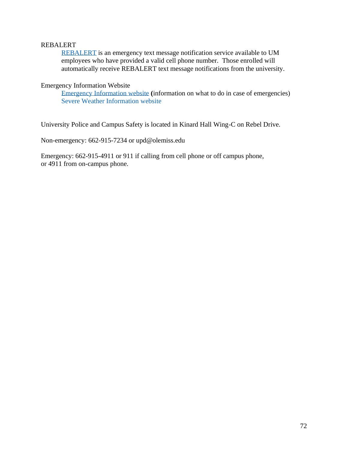#### REBALERT

[REBALERT](https://olemiss.edu/helpdesk/faq.php?cat=61) is an emergency text message notification service available to UM employees who have provided a valid cell phone number. Those enrolled will automatically receive REBALERT text message notifications from the university.

Emergency Information Website

[Emergency Information website](https://emergency.olemiss.edu/) **(**information on what to do in case of emergencies) [Severe Weather Information](https://emergency.olemiss.edu/weather.html) website

University Police and Campus Safety is located in Kinard Hall Wing-C on Rebel Drive.

Non-emergency: 662-915-7234 or upd@olemiss.edu

Emergency: 662-915-4911 or 911 if calling from cell phone or off campus phone, or 4911 from on-campus phone.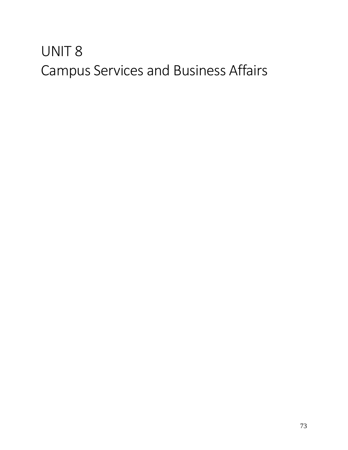## UNIT 8 Campus Services and Business Affairs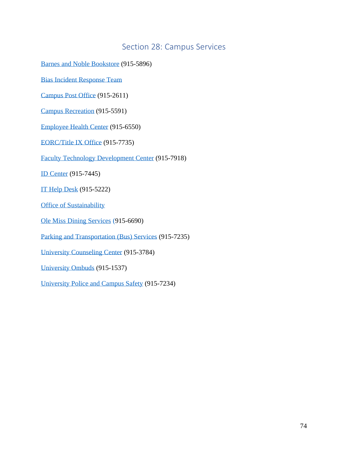#### Section 28: Campus Services

[Barnes and Noble Bookstore](https://ole-miss.bncollege.com/shop/ole-miss/home) (915-5896)

[Bias Incident Response Team](https://birt.olemiss.edu/)

[Campus Post Office](https://studenthousing.olemiss.edu/campus-post-office/) (915-2611)

[Campus Recreation](https://campusrec.olemiss.edu/) (915-5591)

[Employee Health Center](https://healthcenter.olemiss.edu/employee-health-center/) (915-6550)

[EORC/Title IX](https://eorc.olemiss.edu/) Office (915-7735)

[Faculty Technology Development Center](https://olemiss.edu/depts/ftdc/) (915-7918)

[ID Center](https://idcenter.olemiss.edu/id-self-service/) (915-7445)

[IT Help Desk](https://olemiss.edu/helpdesk/) (915-5222)

[Office of Sustainability](https://sustain.olemiss.edu/) 

[Ole Miss Dining Services](https://olemiss.campusdish.com/) (915-6690)

[Parking and Transportation \(Bus\) Services](https://olemiss.edu/parking/) [\(915-7235\)](https://olemiss.edu/parking/%20(915-7235))

[University Counseling Center](https://counseling.olemiss.edu/) (915-3784)

[University Ombuds](https://ombuds.olemiss.edu/) (915-1537)

[University Police and Campus Safety](https://upd.olemiss.edu/) (915-7234)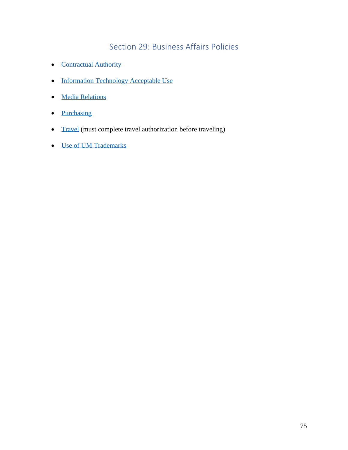### Section 29: Business Affairs Policies

- [Contractual Authority](https://policies.olemiss.edu/ShowDetails.jsp?istatPara=1&policyObjidPara=11539070)
- [Information Technology Acceptable Use](https://policies.olemiss.edu/ShowDetails.jsp?istatPara=1&policyObjidPara=12310649)
- [Media Relations](https://policies.olemiss.edu/ShowDetails.jsp?istatPara=1&policyObjidPara=10643541)
- [Purchasing](https://procurement.olemiss.edu/purchasing/)
- [Travel](https://policies.olemiss.edu/ShowDetails.jsp?istatPara=1&policyObjidPara=10648385) (must complete travel authorization before traveling)
- [Use of UM Trademarks](https://policies.olemiss.edu/ShowDetails.jsp?istatPara=1&policyObjidPara=10644198)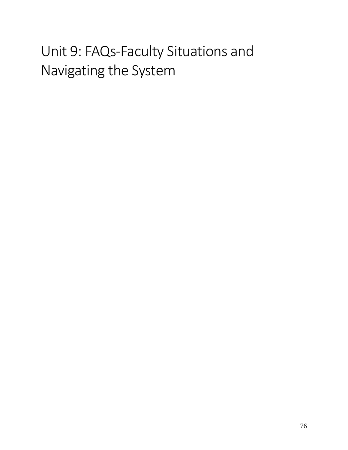# Unit 9: FAQs-Faculty Situations and Navigating the System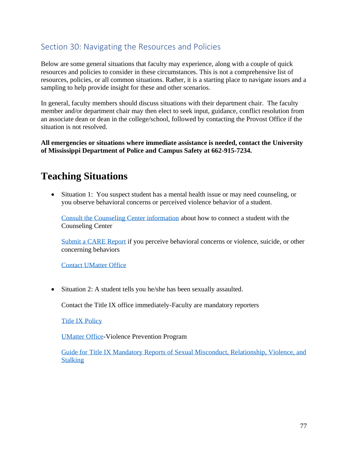#### Section 30: Navigating the Resources and Policies

Below are some general situations that faculty may experience, along with a couple of quick resources and policies to consider in these circumstances. This is not a comprehensive list of resources, policies, or all common situations. Rather, it is a starting place to navigate issues and a sampling to help provide insight for these and other scenarios.

In general, faculty members should discuss situations with their department chair. The faculty member and/or department chair may then elect to seek input, guidance, conflict resolution from an associate dean or dean in the college/school, followed by contacting the Provost Office if the situation is not resolved.

**All emergencies or situations where immediate assistance is needed, contact the University of Mississippi Department of Police and Campus Safety at 662-915-7234.**

## **Teaching Situations**

• Situation 1: You suspect student has a mental health issue or may need counseling, or you observe behavioral concerns or perceived violence behavior of a student.

[Consult the Counseling Center information](https://umatter.olemiss.edu/counseling/) about how to connect a student with the Counseling Center

[Submit a CARE Report](https://cm.maxient.com/reportingform.php?UnivofMississippi&layout_id=3) if you perceive behavioral concerns or violence, suicide, or other concerning behaviors

[Contact UMatter Office](https://umatter.olemiss.edu/mission/)

• Situation 2: A student tells you he/she has been sexually assaulted.

Contact the Title IX office immediately-Faculty are mandatory reporters

[Title IX Policy](https://policies.olemiss.edu/ShowDetails.jsp?istatPara=1&policyObjidPara=12352730)

[UMatter Office-](https://umsafe.olemiss.edu/)Violence Prevention Program

[Guide for Title IX Mandatory Reports of Sexual Misconduct, Relationship, Violence, and](https://umsafe.olemiss.edu/sa-mandatory-reporters/)  **[Stalking](https://umsafe.olemiss.edu/sa-mandatory-reporters/)**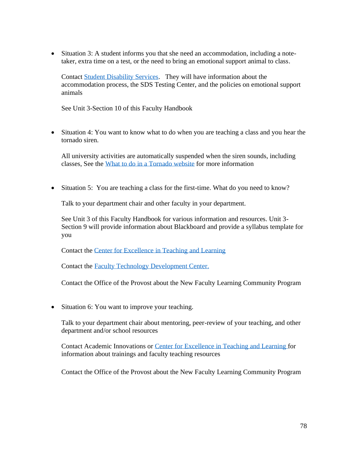• Situation 3: A student informs you that she need an accommodation, including a notetaker, extra time on a test, or the need to bring an emotional support animal to class.

Contact [Student Disability Services.](https://sds.olemiss.edu/) They will have information about the accommodation process, the SDS Testing Center, and the policies on emotional support animals

See Unit 3-Section 10 of this Faculty Handbook

• Situation 4: You want to know what to do when you are teaching a class and you hear the tornado siren.

All university activities are automatically suspended when the siren sounds, including classes, See the [What to do in a Tornado website](https://emergency.olemiss.edu/tornado.html) for more information

• Situation 5: You are teaching a class for the first-time. What do you need to know?

Talk to your department chair and other faculty in your department.

See Unit 3 of this Faculty Handbook for various information and resources. Unit 3- Section 9 will provide information about Blackboard and provide a syllabus template for you

Contact the [Center for Excellence in Teaching and Learning](http://cetl.olemiss.edu/)

Contact the Faculty [Technology Development Center.](https://olemiss.edu/ftdc/)

Contact the Office of the Provost about the New Faculty Learning Community Program

• Situation 6: You want to improve your teaching.

Talk to your department chair about mentoring, peer-review of your teaching, and other department and/or school resources

Contact Academic Innovations or [Center for Excellence in Teaching and Learning](http://cetl.olemiss.edu/) for information about trainings and faculty teaching resources

Contact the Office of the Provost about the New Faculty Learning Community Program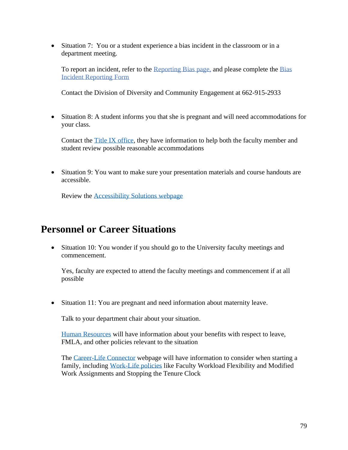• Situation 7: You or a student experience a bias incident in the classroom or in a department meeting.

To report an incident, refer to the [Reporting Bias page,](http://birt.olemiss.edu/reporting-bias/) and please complete the [Bias](https://publicdocs.maxient.com/reportingform.php?UnivofMississippi&layout_id=5)  Incident [Reporting Form](https://publicdocs.maxient.com/reportingform.php?UnivofMississippi&layout_id=5)

Contact the Division of Diversity and Community Engagement at 662-915-2933

• Situation 8: A student informs you that she is pregnant and will need accommodations for your class.

Contact the [Title IX office,](https://eorc.olemiss.edu/title-ix-coordinator/) they have information to help both the faculty member and student review possible reasonable accommodations

• Situation 9: You want to make sure your presentation materials and course handouts are accessible.

Review the [Accessibility Solutions webpage](http://accessibility.olemiss.edu/)

### **Personnel or Career Situations**

• Situation 10: You wonder if you should go to the University faculty meetings and commencement.

Yes, faculty are expected to attend the faculty meetings and commencement if at all possible

• Situation 11: You are pregnant and need information about maternity leave.

Talk to your department chair about your situation.

[Human Resources](http://hr.olemiss.edu/) will have information about your benefits with respect to leave, FMLA, and other policies relevant to the situation

The [Career-Life Connector](http://careerlife.olemiss.edu/) webpage will have information to consider when starting a family, including [Work-Life policies](http://careerlife.olemiss.edu/work-life-policies/) like Faculty Workload Flexibility and Modified Work Assignments and Stopping the Tenure Clock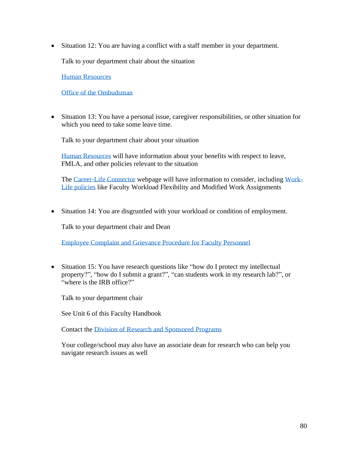• Situation 12: You are having a conflict with a staff member in your department.

Talk to your department chair about the situation

[Human Resources](http://hr.olemiss.edu/)

[Office of the Ombudsman](https://ombuds.olemiss.edu/)

• Situation 13: You have a personal issue, caregiver responsibilities, or other situation for which you need to take some leave time.

Talk to your department chair about your situation

[Human Resources](http://hr.olemiss.edu/) will have information about your benefits with respect to leave, FMLA, and other policies relevant to the situation

The [Career-Life Connector](http://careerlife.olemiss.edu/) webpage will have information to consider, including [Work-](http://careerlife.olemiss.edu/work-life-policies/)[Life policies](http://careerlife.olemiss.edu/work-life-policies/) like Faculty Workload Flexibility and Modified Work Assignments

• Situation 14: You are disgruntled with your workload or condition of employment.

Talk to your department chair and Dean

[Employee Complaint and Grievance Procedure for Faculty Personnel](/Users/dswest/Downloads/10647008_active_20130909%20(2).pdf) 

• Situation 15: You have research questions like "how do I protect my intellectual property?", "how do I submit a grant?", "can students work in my research lab?", or "where is the IRB office?"

Talk to your department chair

See Unit 6 of this Faculty Handbook

Contact the [Division of Research and Sponsored Programs](http://research.olemiss.edu/)

Your college/school may also have an associate dean for research who can help you navigate research issues as well